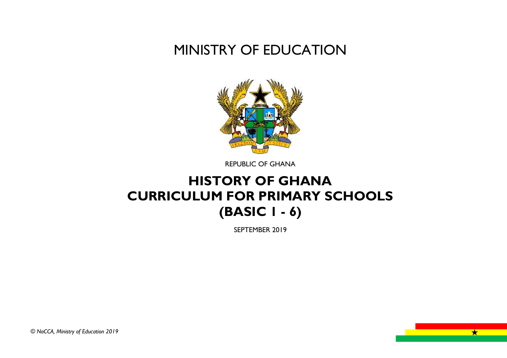# MINISTRY OF EDUCATION



REPUBLIC OF GHANA

# **HISTORY OF GHANA CURRICULUM FOR PRIMARY SCHOOLS (BASIC 1 - 6)**

SEPTEMBER 2019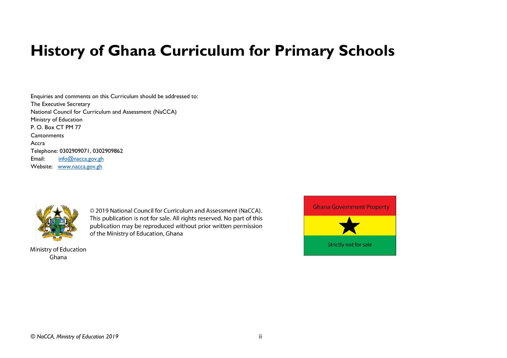# **History of Ghana Curriculum for Primary Schools**

Enquiries and comments on this Curriculum should be addressed to: The Executive Secretary National Council for Curriculum and Assessment (NaCCA) Ministry of Education P. O. Box CT PM 77 **Cantonments** Accra Telephone: 0302909071, 0302909862 Email: [info@nacca.gov.gh](mailto:info@nacca.gov.gh) Website: [www.nacca.gov.gh](http://www.nacca.gov.gh/)



© 2019 National Council for Curriculum and Assessment (NaCCA). This publication is not for sale. All rights reserved. No part of this publication may be reproduced without prior written permission of the Ministry of Education, Ghana

Ministry of Education Ghana

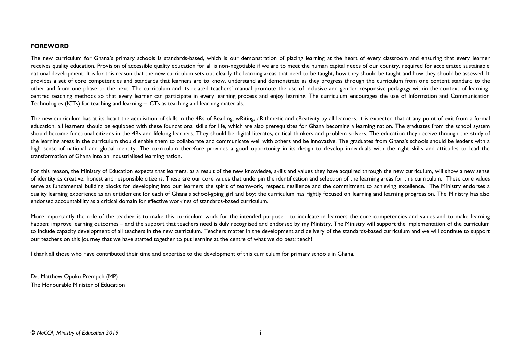#### **FOREWORD**

The new curriculum for Ghana's primary schools is standards-based, which is our demonstration of placing learning at the heart of every classroom and ensuring that every learner receives quality education. Provision of accessible quality education for all is non-negotiable if we are to meet the human capital needs of our country, required for accelerated sustainable national development. It is for this reason that the new curriculum sets out clearly the learning areas that need to be taught, how they should be taught and how they should be assessed. It provides a set of core competencies and standards that learners are to know, understand and demonstrate as they progress through the curriculum from one content standard to the other and from one phase to the next. The curriculum and its related teachers' manual promote the use of inclusive and gender responsive pedagogy within the context of learningcentred teaching methods so that every learner can participate in every learning process and enjoy learning. The curriculum encourages the use of Information and Communication Technologies (ICTs) for teaching and learning – ICTs as teaching and learning materials.

The new curriculum has at its heart the acquisition of skills in the 4Rs of Reading, wRiting, aRithmetic and cReativity by all learners. It is expected that at any point of exit from a formal education, all learners should be equipped with these foundational skills for life, which are also prerequisites for Ghana becoming a learning nation. The graduates from the school system should become functional citizens in the 4Rs and lifelong learners. They should be digital literates, critical thinkers and problem solvers. The education they receive through the study of the learning areas in the curriculum should enable them to collaborate and communicate well with others and be innovative. The graduates from Ghana's schools should be leaders with a high sense of national and global identity. The curriculum therefore provides a good opportunity in its design to develop individuals with the right skills and attitudes to lead the transformation of Ghana into an industrialised learning nation.

For this reason, the Ministry of Education expects that learners, as a result of the new knowledge, skills and values they have acquired through the new curriculum, will show a new sense of identity as creative, honest and responsible citizens. These are our core values that underpin the identification and selection of the learning areas for this curriculum. These core values serve as fundamental building blocks for developing into our learners the spirit of teamwork, respect, resilience and the commitment to achieving excellence. The Ministry endorses a quality learning experience as an entitlement for each of Ghana's school-going girl and boy; the curriculum has rightly focused on learning and learning progression. The Ministry has also endorsed accountability as a critical domain for effective workings of standards-based curriculum.

More importantly the role of the teacher is to make this curriculum work for the intended purpose - to inculcate in learners the core competencies and values and to make learning happen; improve learning outcomes – and the support that teachers need is duly recognised and endorsed by my Ministry. The Ministry will support the implementation of the curriculum to include capacity development of all teachers in the new curriculum. Teachers matter in the development and delivery of the standards-based curriculum and we will continue to support our teachers on this journey that we have started together to put learning at the centre of what we do best; teach!

I thank all those who have contributed their time and expertise to the development of this curriculum for primary schools in Ghana.

Dr. Matthew Opoku Prempeh (MP) The Honourable Minister of Education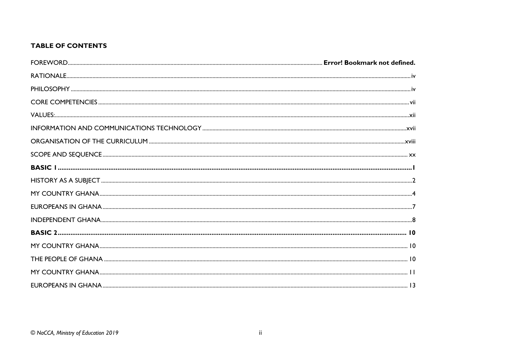### **TABLE OF CONTENTS**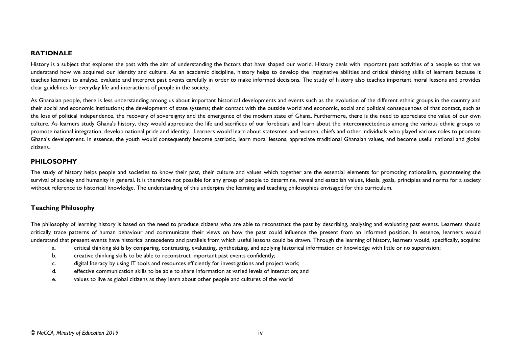#### <span id="page-5-0"></span>**RATIONALE**

History is a subject that explores the past with the aim of understanding the factors that have shaped our world. History deals with important past activities of a people so that we understand how we acquired our identity and culture. As an academic discipline, history helps to develop the imaginative abilities and critical thinking skills of learners because it teaches learners to analyse, evaluate and interpret past events carefully in order to make informed decisions. The study of history also teaches important moral lessons and provides clear guidelines for everyday life and interactions of people in the society.

As Ghanaian people, there is less understanding among us about important historical developments and events such as the evolution of the different ethnic groups in the country and their social and economic institutions; the development of state systems; their contact with the outside world and economic, social and political consequences of that contact, such as the loss of political independence, the recovery of sovereignty and the emergence of the modern state of Ghana. Furthermore, there is the need to appreciate the value of our own culture. As learners study Ghana's history, they would appreciate the life and sacrifices of our forebears and learn about the interconnectedness among the various ethnic groups to promote national integration, develop national pride and identity. Learners would learn about statesmen and women, chiefs and other individuals who played various roles to promote Ghana's development. In essence, the youth would consequently become patriotic, learn moral lessons, appreciate traditional Ghanaian values, and become useful national and global citizens.

#### <span id="page-5-1"></span>**PHILOSOPHY**

The study of history helps people and societies to know their past, their culture and values which together are the essential elements for promoting nationalism, guaranteeing the survival of society and humanity in general. It is therefore not possible for any group of people to determine, reveal and establish values, ideals, goals, principles and norms for a society without reference to historical knowledge. The understanding of this underpins the learning and teaching philosophies envisaged for this curriculum.

#### **Teaching Philosophy**

The philosophy of learning history is based on the need to produce citizens who are able to reconstruct the past by describing, analysing and evaluating past events. Learners should critically trace patterns of human behaviour and communicate their views on how the past could influence the present from an informed position. In essence, learners would understand that present events have historical antecedents and parallels from which useful lessons could be drawn. Through the learning of history, learners would, specifically, acquire:

- a. critical thinking skills by comparing, contrasting, evaluating, synthesizing, and applying historical information or knowledge with little or no supervision;
- b. creative thinking skills to be able to reconstruct important past events confidently;
- c. digital literacy by using IT tools and resources efficiently for investigations and project work;
- d. effective communication skills to be able to share information at varied levels of interaction; and
- e. values to live as global citizens as they learn about other people and cultures of the world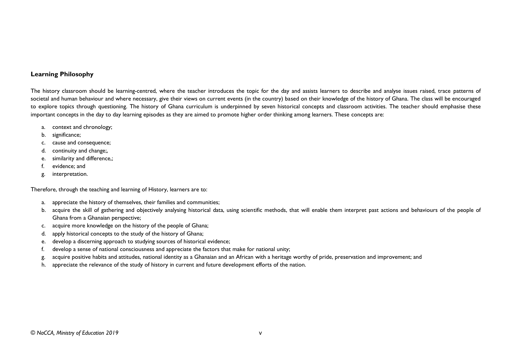#### **Learning Philosophy**

The history classroom should be learning-centred, where the teacher introduces the topic for the day and assists learners to describe and analyse issues raised, trace patterns of societal and human behaviour and where necessary, give their views on current events (in the country) based on their knowledge of the history of Ghana. The class will be encouraged to explore topics through questioning. The history of Ghana curriculum is underpinned by seven historical concepts and classroom activities. The teacher should emphasise these important concepts in the day to day learning episodes as they are aimed to promote higher order thinking among learners. These concepts are:

- a. context and chronology;
- b. significance;
- c. cause and consequence;
- d. continuity and change;,
- e. similarity and difference,;
- f. evidence; and
- g. interpretation.

Therefore, through the teaching and learning of History, learners are to:

- a. appreciate the history of themselves, their families and communities;
- b. acquire the skill of gathering and objectively analysing historical data, using scientific methods, that will enable them interpret past actions and behaviours of the people of Ghana from a Ghanaian perspective;
- c. acquire more knowledge on the history of the people of Ghana;
- d. apply historical concepts to the study of the history of Ghana;
- e. develop a discerning approach to studying sources of historical evidence;
- f. develop a sense of national consciousness and appreciate the factors that make for national unity;
- g. acquire positive habits and attitudes, national identity as a Ghanaian and an African with a heritage worthy of pride, preservation and improvement; and
- h. appreciate the relevance of the study of history in current and future development efforts of the nation.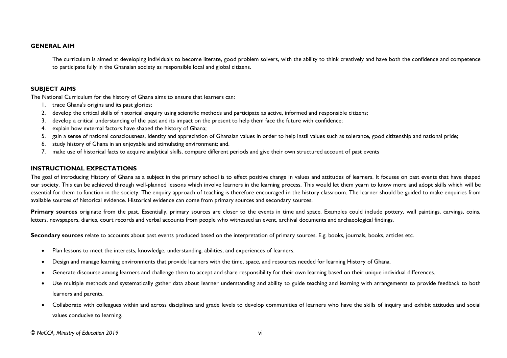#### **GENERAL AIM**

The curriculum is aimed at developing individuals to become literate, good problem solvers, with the ability to think creatively and have both the confidence and competence to participate fully in the Ghanaian society as responsible local and global citizens.

#### **SUBJECT AIMS**

The National Curriculum for the history of Ghana aims to ensure that learners can:

- 1. trace Ghana's origins and its past glories;
- 2. develop the critical skills of historical enquiry using scientific methods and participate as active, informed and responsible citizens;
- 3. develop a critical understanding of the past and its impact on the present to help them face the future with confidence;
- 4. explain how external factors have shaped the history of Ghana;
- 5. gain a sense of national consciousness, identity and appreciation of Ghanaian values in order to help instil values such as tolerance, good citizenship and national pride;
- 6. study history of Ghana in an enjoyable and stimulating environment; and.
- 7. make use of historical facts to acquire analytical skills, compare different periods and give their own structured account of past events

#### **INSTRUCTIONAL EXPECTATIONS**

The goal of introducing History of Ghana as a subject in the primary school is to effect positive change in values and attitudes of learners. It focuses on past events that have shaped our society. This can be achieved through well-planned lessons which involve learners in the learning process. This would let them yearn to know more and adopt skills which will be essential for them to function in the society. The enquiry approach of teaching is therefore encouraged in the history classroom. The learner should be guided to make enquiries from available sources of historical evidence. Historical evidence can come from primary sources and secondary sources.

**Primary sources** originate from the past. Essentially, primary sources are closer to the events in time and space. Examples could include pottery, wall paintings, carvings, coins, letters, newspapers, diaries, court records and verbal accounts from people who witnessed an event, archival documents and archaeological findings.

**Secondary sources** relate to accounts about past events produced based on the interpretation of primary sources. E.g. books, journals, books, articles etc.

- Plan lessons to meet the interests, knowledge, understanding, abilities, and experiences of learners.
- Design and manage learning environments that provide learners with the time, space, and resources needed for learning History of Ghana.
- Generate discourse among learners and challenge them to accept and share responsibility for their own learning based on their unique individual differences.
- Use multiple methods and systematically gather data about learner understanding and ability to guide teaching and learning with arrangements to provide feedback to both learners and parents.
- Collaborate with colleagues within and across disciplines and grade levels to develop communities of learners who have the skills of inquiry and exhibit attitudes and social values conducive to learning.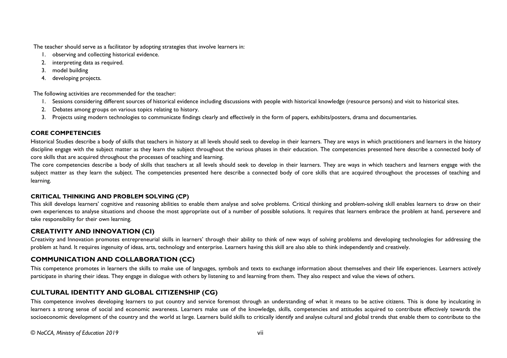The teacher should serve as a facilitator by adopting strategies that involve learners in:

- 1. observing and collecting historical evidence.
- 2. interpreting data as required.
- 3. model building
- 4. developing projects.

The following activities are recommended for the teacher:

- 1. Sessions considering different sources of historical evidence including discussions with people with historical knowledge (resource persons) and visit to historical sites.
- 2. Debates among groups on various topics relating to history.
- 3. Projects using modern technologies to communicate findings clearly and effectively in the form of papers, exhibits/posters, drama and documentaries.

#### <span id="page-8-0"></span>**CORE COMPETENCIES**

Historical Studies describe a body of skills that teachers in history at all levels should seek to develop in their learners. They are ways in which practitioners and learners in the history discipline engage with the subject matter as they learn the subject throughout the various phases in their education. The competencies presented here describe a connected body of core skills that are acquired throughout the processes of teaching and learning.

The core competencies describe a body of skills that teachers at all levels should seek to develop in their learners. They are ways in which teachers and learners engage with the subject matter as they learn the subject. The competencies presented here describe a connected body of core skills that are acquired throughout the processes of teaching and learning.

#### **CRITICAL THINKING AND PROBLEM SOLVING (CP)**

This skill develops learners' cognitive and reasoning abilities to enable them analyse and solve problems. Critical thinking and problem-solving skill enables learners to draw on their own experiences to analyse situations and choose the most appropriate out of a number of possible solutions. It requires that learners embrace the problem at hand, persevere and take responsibility for their own learning.

### **CREATIVITY AND INNOVATION (CI)**

Creativity and Innovation promotes entrepreneurial skills in learners' through their ability to think of new ways of solving problems and developing technologies for addressing the problem at hand. It requires ingenuity of ideas, arts, technology and enterprise. Learners having this skill are also able to think independently and creatively.

# **COMMUNICATION AND COLLABORATION (CC)**

This competence promotes in learners the skills to make use of languages, symbols and texts to exchange information about themselves and their life experiences. Learners actively participate in sharing their ideas. They engage in dialogue with others by listening to and learning from them. They also respect and value the views of others.

# **CULTURAL IDENTITY AND GLOBAL CITIZENSHIP (CG)**

This competence involves developing learners to put country and service foremost through an understanding of what it means to be active citizens. This is done by inculcating in learners a strong sense of social and economic awareness. Learners make use of the knowledge, skills, competencies and attitudes acquired to contribute effectively towards the socioeconomic development of the country and the world at large. Learners build skills to critically identify and analyse cultural and global trends that enable them to contribute to the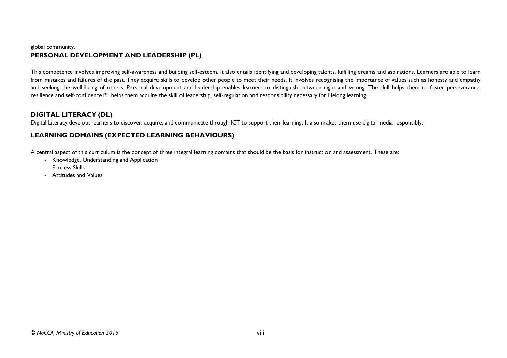#### global community. **PERSONAL DEVELOPMENT AND LEADERSHIP (PL)**

This competence involves improving self-awareness and building self-esteem. It also entails identifying and developing talents, fulfilling dreams and aspirations. Learners are able to learn from mistakes and failures of the past. They acquire skills to develop other people to meet their needs. It involves recognising the importance of values such as honesty and empathy and seeking the well-being of others. Personal development and leadership enables learners to distinguish between right and wrong. The skill helps them to foster perseverance, resilience and self-confidence.PL helps them acquire the skill of leadership, self-regulation and responsibility necessary for lifelong learning.

#### **DIGITAL LITERACY (DL)**

Digital Literacy develops learners to discover, acquire, and communicate through ICT to support their learning. It also makes them use digital media responsibly.

# **LEARNING DOMAINS (EXPECTED LEARNING BEHAVIOURS)**

A central aspect of this curriculum is the concept of three integral learning domains that should be the basis for instruction and assessment. These are:

- Knowledge, Understanding and Application
- Process Skills
- Attitudes and Values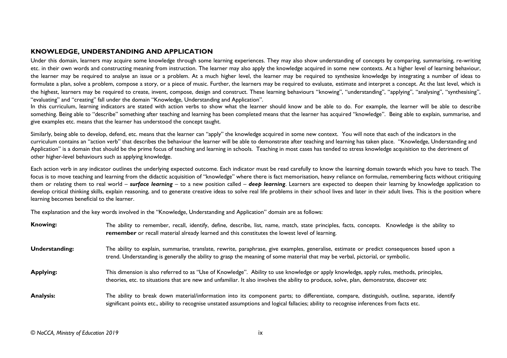#### **KNOWLEDGE, UNDERSTANDING AND APPLICATION**

Under this domain, learners may acquire some knowledge through some learning experiences. They may also show understanding of concepts by comparing, summarising, re-writing etc. in their own words and constructing meaning from instruction. The learner may also apply the knowledge acquired in some new contexts. At a higher level of learning behaviour, the learner may be required to analyse an issue or a problem. At a much higher level, the learner may be required to synthesize knowledge by integrating a number of ideas to formulate a plan, solve a problem, compose a story, or a piece of music. Further, the learners may be required to evaluate, estimate and interpret a concept. At the last level, which is the highest, learners may be required to create, invent, compose, design and construct. These learning behaviours "knowing", "understanding", "applying", "analysing", "synthesising", "evaluating" and "creating" fall under the domain "Knowledge, Understanding and Application".

In this curriculum, learning indicators are stated with action verbs to show what the learner should know and be able to do. For example, the learner will be able to describe something. Being able to "describe" something after teaching and learning has been completed means that the learner has acquired "knowledge". Being able to explain, summarise, and give examples etc. means that the learner has understood the concept taught.

Similarly, being able to develop, defend, etc. means that the learner can "apply" the knowledge acquired in some new context. You will note that each of the indicators in the curriculum contains an "action verb" that describes the behaviour the learner will be able to demonstrate after teaching and learning has taken place. "Knowledge, Understanding and Application" is a domain that should be the prime focus of teaching and learning in schools. Teaching in most cases has tended to stress knowledge acquisition to the detriment of other higher-level behaviours such as applying knowledge.

Each action verb in any indicator outlines the underlying expected outcome. Each indicator must be read carefully to know the learning domain towards which you have to teach. The focus is to move teaching and learning from the didactic acquisition of "knowledge" where there is fact memorisation, heavy reliance on formulae, remembering facts without critiquing them or relating them to real world – *surface learning –* to a new position called – *deep learning*. Learners are expected to deepen their learning by knowledge application to develop critical thinking skills, explain reasoning, and to generate creative ideas to solve real life problems in their school lives and later in their adult lives. This is the position where learning becomes beneficial to the learner.

The explanation and the key words involved in the "Knowledge, Understanding and Application" domain are as follows:

| <b>Knowing:</b>  | The ability to remember, recall, identify, define, describe, list, name, match, state principles, facts, concepts. Knowledge is the ability to<br>remember or recall material already learned and this constitutes the lowest level of learning.                                          |
|------------------|-------------------------------------------------------------------------------------------------------------------------------------------------------------------------------------------------------------------------------------------------------------------------------------------|
| Understanding:   | The ability to explain, summarise, translate, rewrite, paraphrase, give examples, generalise, estimate or predict consequences based upon a<br>trend. Understanding is generally the ability to grasp the meaning of some material that may be verbal, pictorial, or symbolic.            |
| <b>Applying:</b> | This dimension is also referred to as "Use of Knowledge". Ability to use knowledge or apply knowledge, apply rules, methods, principles,<br>theories, etc. to situations that are new and unfamiliar. It also involves the ability to produce, solve, plan, demonstrate, discover etc     |
| <b>Analysis:</b> | The ability to break down material/information into its component parts; to differentiate, compare, distinguish, outline, separate, identify<br>significant points etc., ability to recognise unstated assumptions and logical fallacies; ability to recognise inferences from facts etc. |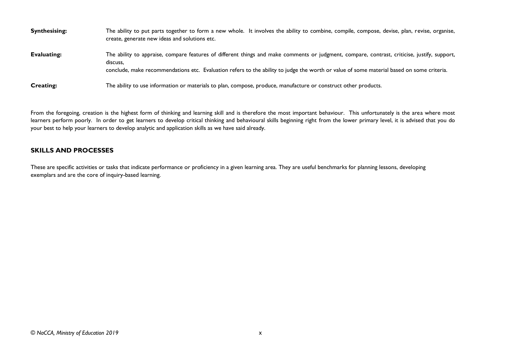| <b>Synthesising:</b> | The ability to put parts together to form a new whole. It involves the ability to combine, compile, compose, devise, plan, revise, organise,<br>create, generate new ideas and solutions etc.                                                                                                         |
|----------------------|-------------------------------------------------------------------------------------------------------------------------------------------------------------------------------------------------------------------------------------------------------------------------------------------------------|
| Evaluating:          | The ability to appraise, compare features of different things and make comments or judgment, compare, contrast, criticise, justify, support,<br>discuss.<br>conclude, make recommendations etc. Evaluation refers to the ability to judge the worth or value of some material based on some criteria. |
| <b>Creating:</b>     | The ability to use information or materials to plan, compose, produce, manufacture or construct other products.                                                                                                                                                                                       |

From the foregoing, creation is the highest form of thinking and learning skill and is therefore the most important behaviour. This unfortunately is the area where most learners perform poorly. In order to get learners to develop critical thinking and behavioural skills beginning right from the lower primary level, it is advised that you do your best to help your learners to develop analytic and application skills as we have said already.

#### **SKILLS AND PROCESSES**

These are specific activities or tasks that indicate performance or proficiency in a given learning area. They are useful benchmarks for planning lessons, developing exemplars and are the core of inquiry-based learning.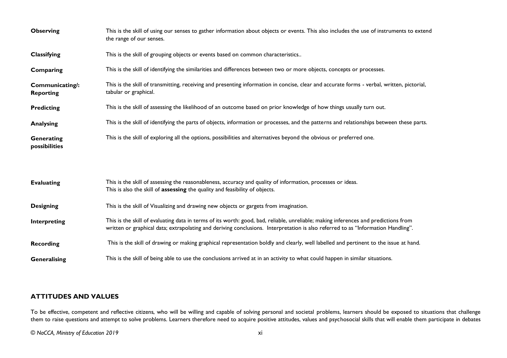| <b>Observing</b>                    | This is the skill of using our senses to gather information about objects or events. This also includes the use of instruments to extend<br>the range of our senses.                                                                                                    |
|-------------------------------------|-------------------------------------------------------------------------------------------------------------------------------------------------------------------------------------------------------------------------------------------------------------------------|
| Classifying                         | This is the skill of grouping objects or events based on common characteristics                                                                                                                                                                                         |
| Comparing                           | This is the skill of identifying the similarities and differences between two or more objects, concepts or processes.                                                                                                                                                   |
| Communicating/:<br><b>Reporting</b> | This is the skill of transmitting, receiving and presenting information in concise, clear and accurate forms - verbal, written, pictorial,<br>tabular or graphical.                                                                                                     |
| <b>Predicting</b>                   | This is the skill of assessing the likelihood of an outcome based on prior knowledge of how things usually turn out.                                                                                                                                                    |
| <b>Analysing</b>                    | This is the skill of identifying the parts of objects, information or processes, and the patterns and relationships between these parts.                                                                                                                                |
| Generating<br>possibilities         | This is the skill of exploring all the options, possibilities and alternatives beyond the obvious or preferred one.                                                                                                                                                     |
|                                     |                                                                                                                                                                                                                                                                         |
| <b>Evaluating</b>                   | This is the skill of assessing the reasonableness, accuracy and quality of information, processes or ideas.<br>This is also the skill of assessing the quality and feasibility of objects.                                                                              |
| <b>Designing</b>                    | This is the skill of Visualizing and drawing new objects or gargets from imagination.                                                                                                                                                                                   |
| Interpreting                        | This is the skill of evaluating data in terms of its worth: good, bad, reliable, unreliable; making inferences and predictions from<br>written or graphical data; extrapolating and deriving conclusions. Interpretation is also referred to as "Information Handling". |
| <b>Recording</b>                    | This is the skill of drawing or making graphical representation boldly and clearly, well labelled and pertinent to the issue at hand.                                                                                                                                   |
| Generalising                        | This is the skill of being able to use the conclusions arrived at in an activity to what could happen in similar situations.                                                                                                                                            |

#### **ATTITUDES AND VALUES**

To be effective, competent and reflective citizens, who will be willing and capable of solving personal and societal problems, learners should be exposed to situations that challenge them to raise questions and attempt to solve problems. Learners therefore need to acquire positive attitudes, values and psychosocial skills that will enable them participate in debates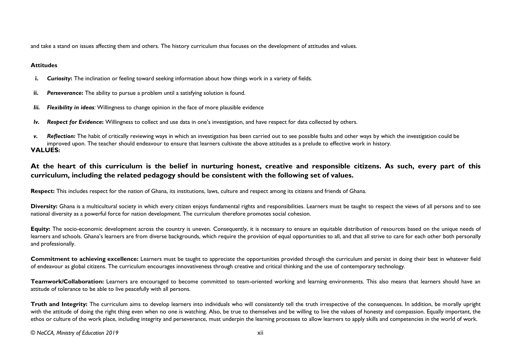and take a stand on issues affecting them and others. The history curriculum thus focuses on the development of attitudes and values.

#### **Attitudes**

- **i.** *Curiosity***:** The inclination or feeling toward seeking information about how things work in a variety of fields.
- **ii.** Perseverance: The ability to pursue a problem until a satisfying solution is found.
- *Iii. Flexibility in ideas:* Willingness to change opinion in the face of more plausible evidence
- *Iv. Respect for Evidence***:** Willingness to collect and use data in one's investigation, and have respect for data collected by others.
- <span id="page-13-0"></span>*v. Reflection:* The habit of critically reviewing ways in which an investigation has been carried out to see possible faults and other ways by which the investigation could be improved upon. The teacher should endeavour to ensure that learners cultivate the above attitudes as a prelude to effective work in history. **VALUES:**

# **At the heart of this curriculum is the belief in nurturing honest, creative and responsible citizens. As such, every part of this curriculum, including the related pedagogy should be consistent with the following set of values.**

**Respect:** This includes respect for the nation of Ghana, its institutions, laws, culture and respect among its citizens and friends of Ghana.

Diversity: Ghana is a multicultural society in which every citizen enjoys fundamental rights and responsibilities. Learners must be taught to respect the views of all persons and to see national diversity as a powerful force for nation development. The curriculum therefore promotes social cohesion.

Equity: The socio-economic development across the country is uneven. Consequently, it is necessary to ensure an equitable distribution of resources based on the unique needs of learners and schools. Ghana's learners are from diverse backgrounds, which require the provision of equal opportunities to all, and that all strive to care for each other both personally and professionally.

**Commitment to achieving excellence:** Learners must be taught to appreciate the opportunities provided through the curriculum and persist in doing their best in whatever field of endeavour as global citizens. The curriculum encourages innovativeness through creative and critical thinking and the use of contemporary technology.

**Teamwork/Collaboration:** Learners are encouraged to become committed to team-oriented working and learning environments. This also means that learners should have an attitude of tolerance to be able to live peacefully with all persons.

**Truth and Integrity:** The curriculum aims to develop learners into individuals who will consistently tell the truth irrespective of the consequences. In addition, be morally upright with the attitude of doing the right thing even when no one is watching. Also, be true to themselves and be willing to live the values of honesty and compassion. Equally important, the ethos or culture of the work place, including integrity and perseverance, must underpin the learning processes to allow learners to apply skills and competencies in the world of work.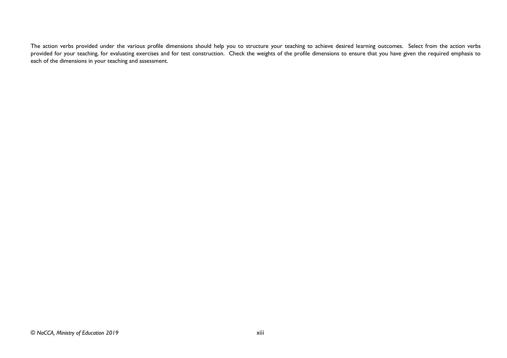The action verbs provided under the various profile dimensions should help you to structure your teaching to achieve desired learning outcomes. Select from the action verbs provided for your teaching, for evaluating exercises and for test construction. Check the weights of the profile dimensions to ensure that you have given the required emphasis to each of the dimensions in your teaching and assessment.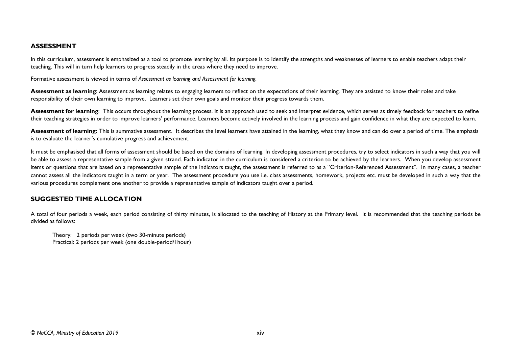#### **ASSESSMENT**

In this curriculum, assessment is emphasized as a tool to promote learning by all. Its purpose is to identify the strengths and weaknesses of learners to enable teachers adapt their teaching. This will in turn help learners to progress steadily in the areas where they need to improve.

Formative assessment is viewed in terms of *Assessment as learning and Assessment for learning.* 

Assessment as learning: Assessment as learning relates to engaging learners to reflect on the expectations of their learning. They are assisted to know their roles and take responsibility of their own learning to improve. Learners set their own goals and monitor their progress towards them.

**Assessment for learning**: This occurs throughout the learning process. It is an approach used to seek and interpret evidence, which serves as timely feedback for teachers to refine their teaching strategies in order to improve learners' performance. Learners become actively involved in the learning process and gain confidence in what they are expected to learn.

Assessment of learning: This is summative assessment. It describes the level learners have attained in the learning, what they know and can do over a period of time. The emphasis is to evaluate the learner's cumulative progress and achievement.

It must be emphasised that all forms of assessment should be based on the domains of learning. In developing assessment procedures, try to select indicators in such a way that you will be able to assess a representative sample from a given strand. Each indicator in the curriculum is considered a criterion to be achieved by the learners. When you develop assessment items or questions that are based on a representative sample of the indicators taught, the assessment is referred to as a "Criterion-Referenced Assessment". In many cases, a teacher cannot assess all the indicators taught in a term or year. The assessment procedure you use i.e. class assessments, homework, projects etc. must be developed in such a way that the various procedures complement one another to provide a representative sample of indicators taught over a period.

#### **SUGGESTED TIME ALLOCATION**

A total of four periods a week, each period consisting of thirty minutes, is allocated to the teaching of History at the Primary level. It is recommended that the teaching periods be divided as follows:

Theory: 2 periods per week (two 30-minute periods) Practical: 2 periods per week (one double-period/1hour)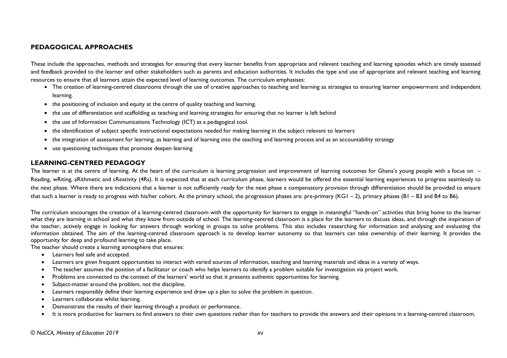#### **PEDAGOGICAL APPROACHES**

These include the approaches, methods and strategies for ensuring that every learner benefits from appropriate and relevant teaching and learning episodes which are timely assessed and feedback provided to the learner and other stakeholders such as parents and education authorities. It includes the type and use of appropriate and relevant teaching and learning resources to ensure that all learners attain the expected level of learning outcomes. The curriculum emphasises:

- The creation of learning-centred classrooms through the use of creative approaches to teaching and learning as strategies to ensuring learner empowerment and independent learning.
- the positioning of inclusion and equity at the centre of quality teaching and learning.
- the use of differentiation and scaffolding as teaching and learning strategies for ensuring that no learner is left behind
- the use of Information Communications Technology (ICT) as a pedagogical tool.
- the identification of subject specific instructional expectations needed for making learning in the subject relevant to learners
- the integration of assessment for learning, as learning and of learning into the teaching and learning process and as an accountability strategy
- use questioning techniques that promote deepen learning

#### **LEARNING-CENTRED PEDAGOGY**

The learner is at the centre of learning. At the heart of the curriculum is learning progression and improvement of learning outcomes for Ghana's young people with a focus on -Reading, wRiting, aRithmetic and cReativity (4Rs). It is expected that at each curriculum phase, learners would be offered the essential learning experiences to progress seamlessly to the next phase. Where there are indications that a learner is not sufficiently ready for the next phase a compensatory provision through differentiation should be provided to ensure that such a learner is ready to progress with his/her cohort. At the primary school, the progression phases are: pre-primary (KG1 – 2), primary phases (B1 – B3 and B4 to B6).

The curriculum encourages the creation of a learning-centred classroom with the opportunity for learners to engage in meaningful "hands-on" activities that bring home to the learner what they are learning in school and what they know from outside of school. The learning-centred classroom is a place for the learners to discuss ideas, and through the inspiration of the teacher, actively engage in looking for answers through working in groups to solve problems. This also includes researching for information and analysing and evaluating the information obtained. The aim of the learning-centred classroom approach is to develop learner autonomy so that learners can take ownership of their learning. It provides the opportunity for deep and profound learning to take place.

The teacher should create a learning atmosphere that ensures:

- Learners feel safe and accepted.
- Learners are given frequent opportunities to interact with varied sources of information, teaching and learning materials and ideas in a variety of ways.
- The teacher assumes the position of a facilitator or coach who helps learners to identify a problem suitable for investigation via project work.
- Problems are connected to the context of the learners' world so that it presents authentic opportunities for learning.
- Subject-matter around the problem, not the discipline.
- Learners responsibly define their learning experience and draw up a plan to solve the problem in question.
- Learners collaborate whilst learning.
- Demonstrate the results of their learning through a product or performance.
- It is more productive for learners to find answers to their own questions rather than for teachers to provide the answers and their opinions in a learning-centred classroom.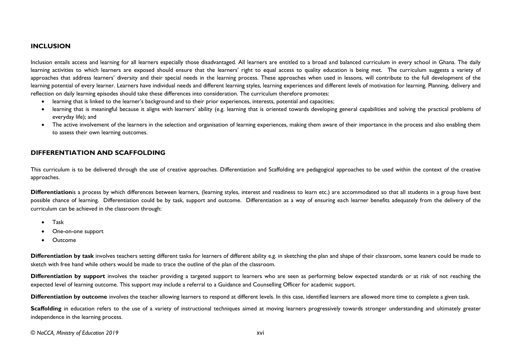#### **INCLUSION**

Inclusion entails access and learning for all learners especially those disadvantaged. All learners are entitled to a broad and balanced curriculum in every school in Ghana. The daily learning activities to which learners are exposed should ensure that the learners' right to equal access to quality education is being met. The curriculum suggests a variety of approaches that address learners' diversity and their special needs in the learning process. These approaches when used in lessons, will contribute to the full development of the learning potential of every learner. Learners have individual needs and different learning styles, learning experiences and different levels of motivation for learning. Planning, delivery and reflection on daily learning episodes should take these differences into consideration. The curriculum therefore promotes:

- learning that is linked to the learner's background and to their prior experiences, interests, potential and capacities;
- learning that is meaningful because it aligns with learners' ability (e.g. learning that is oriented towards developing general capabilities and solving the practical problems of everyday life); and
- The active involvement of the learners in the selection and organisation of learning experiences, making them aware of their importance in the process and also enabling them to assess their own learning outcomes.

#### **DIFFERENTIATION AND SCAFFOLDING**

This curriculum is to be delivered through the use of creative approaches. Differentiation and Scaffolding are pedagogical approaches to be used within the context of the creative approaches.

Differentiationis a process by which differences between learners, (learning styles, interest and readiness to learn etc.) are accommodated so that all students in a group have best possible chance of learning. Differentiation could be by task, support and outcome. Differentiation as a way of ensuring each learner benefits adequately from the delivery of the curriculum can be achieved in the classroom through:

- Task
- One-on-one support
- Outcome

Differentiation by task involves teachers setting different tasks for learners of different ability e.g. in sketching the plan and shape of their classroom, some leaners could be made to sketch with free hand while others would be made to trace the outline of the plan of the classroom.

**Differentiation by support** involves the teacher providing a targeted support to learners who are seen as performing below expected standards or at risk of not reaching the expected level of learning outcome. This support may include a referral to a Guidance and Counselling Officer for academic support.

**Differentiation by outcome** involves the teacher allowing learners to respond at different levels. In this case, identified learners are allowed more time to complete a given task.

Scaffolding in education refers to the use of a variety of instructional techniques aimed at moving learners progressively towards stronger understanding and ultimately greater independence in the learning process.

*© NaCCA, Ministry of Education 2019* xvi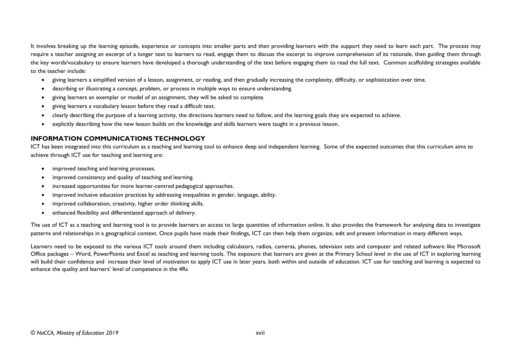It involves breaking up the learning episode, experience or concepts into smaller parts and then providing learners with the support they need to learn each part. The process may require a teacher assigning an excerpt of a longer text to learners to read, engage them to discuss the excerpt to improve comprehension of its rationale, then guiding them through the key words/vocabulary to ensure learners have developed a thorough understanding of the text before engaging them to read the full text. Common scaffolding strategies available to the teacher include:

- giving learners a simplified version of a lesson, assignment, or reading, and then gradually increasing the complexity, difficulty, or sophistication over time.
- describing or illustrating a concept, problem, or process in multiple ways to ensure understanding.
- giving learners an exemplar or model of an assignment, they will be asked to complete.
- giving learners a vocabulary lesson before they read a difficult text.
- clearly describing the purpose of a learning activity, the directions learners need to follow, and the learning goals they are expected to achieve.
- explicitly describing how the new lesson builds on the knowledge and skills learners were taught in a previous lesson.

#### <span id="page-18-0"></span>**INFORMATION COMMUNICATIONS TECHNOLOGY**

ICT has been integrated into this curriculum as a teaching and learning tool to enhance deep and independent learning. Some of the expected outcomes that this curriculum aims to achieve through ICT use for teaching and learning are:

- improved teaching and learning processes.
- improved consistency and quality of teaching and learning.
- increased opportunities for more learner-centred pedagogical approaches.
- improved inclusive education practices by addressing inequalities in gender, language, ability.
- improved collaboration, creativity, higher order thinking skills.
- enhanced flexibility and differentiated approach of delivery.

The use of ICT as a teaching and learning tool is to provide learners an access to large quantities of information online. It also provides the framework for analysing data to investigate patterns and relationships in a geographical context. Once pupils have made their findings, ICT can then help them organize, edit and present information in many different ways.

Learners need to be exposed to the various ICT tools around them including calculators, radios, cameras, phones, television sets and computer and related software like Microsoft Office packages – Word, PowerPoints and Excel as teaching and learning tools. The exposure that learners are given at the Primary School level in the use of ICT in exploring learning will build their confidence and increase their level of motivation to apply ICT use in later years, both within and outside of education. ICT use for teaching and learning is expected to enhance the quality and learners' level of competence in the 4Rs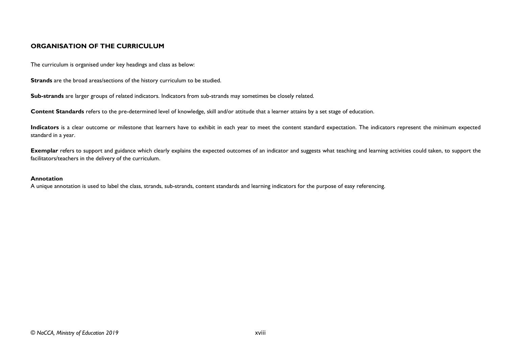#### <span id="page-19-0"></span>**ORGANISATION OF THE CURRICULUM**

The curriculum is organised under key headings and class as below:

**Strands** are the broad areas/sections of the history curriculum to be studied.

**Sub-strands** are larger groups of related indicators. Indicators from sub-strands may sometimes be closely related.

**Content Standards** refers to the pre-determined level of knowledge, skill and/or attitude that a learner attains by a set stage of education.

Indicators is a clear outcome or milestone that learners have to exhibit in each year to meet the content standard expectation. The indicators represent the minimum expected standard in a year.

**Exemplar** refers to support and guidance which clearly explains the expected outcomes of an indicator and suggests what teaching and learning activities could taken, to support the facilitators/teachers in the delivery of the curriculum.

#### **Annotation**

A unique annotation is used to label the class, strands, sub-strands, content standards and learning indicators for the purpose of easy referencing.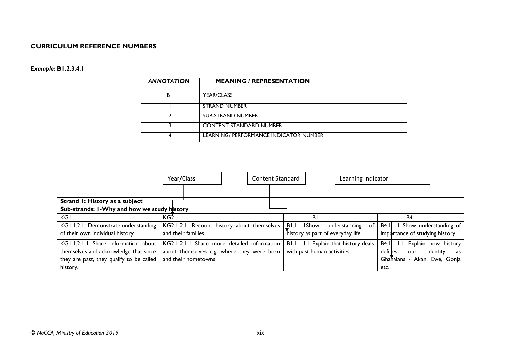#### **CURRICULUM REFERENCE NUMBERS**

#### *Example:* **B1.2.3.4.1**

| <b>ANNOTATION</b> | <b>MEANING / REPRESENTATION</b>        |
|-------------------|----------------------------------------|
| BI.               | <b>YEAR/CLASS</b>                      |
|                   | <b>STRAND NUMBER</b>                   |
| າ                 | <b>SUB-STRAND NUMBER</b>               |
|                   | <b>CONTENT STANDARD NUMBER</b>         |
| 4                 | LEARNING/ PERFORMANCE INDICATOR NUMBER |

<span id="page-20-0"></span>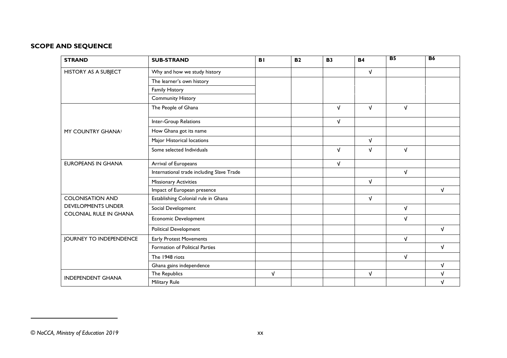### **SCOPE AND SEQUENCE**

| <b>STRAND</b>                  | <b>SUB-STRAND</b>                         | <b>BI</b>  | <b>B2</b> | <b>B3</b>  | <b>B4</b>  | B <sub>5</sub> | <b>B6</b>  |
|--------------------------------|-------------------------------------------|------------|-----------|------------|------------|----------------|------------|
| <b>HISTORY AS A SUBJECT</b>    | Why and how we study history              |            |           |            | V          |                |            |
|                                | The learner's own history                 |            |           |            |            |                |            |
|                                | <b>Family History</b>                     |            |           |            |            |                |            |
|                                | <b>Community History</b>                  |            |           |            |            |                |            |
|                                | The People of Ghana                       |            |           | $\sqrt{ }$ | $\sqrt{ }$ | $\sqrt{ }$     |            |
|                                | Inter-Group Relations                     |            |           | $\sqrt{ }$ |            |                |            |
| MY COUNTRY GHANA               | How Ghana got its name                    |            |           |            |            |                |            |
|                                | Major Historical locations                |            |           |            | $\sqrt{ }$ |                |            |
|                                | Some selected Individuals                 |            |           | $\sqrt{ }$ | $\sqrt{ }$ | $\sqrt{ }$     |            |
| <b>EUROPEANS IN GHANA</b>      | Arrival of Europeans                      |            |           | $\sqrt{ }$ |            |                |            |
|                                | International trade including Slave Trade |            |           |            |            | $\sqrt{ }$     |            |
|                                | <b>Missionary Activities</b>              |            |           |            | $\sqrt{ }$ |                |            |
|                                | Impact of European presence               |            |           |            |            |                | $\sqrt{ }$ |
| <b>COLONISATION AND</b>        | Establishing Colonial rule in Ghana       |            |           |            | $\sqrt{ }$ |                |            |
| <b>DEVELOPMENTS UNDER</b>      | Social Development                        |            |           |            |            | $\sqrt{ }$     |            |
| <b>COLONIAL RULE IN GHANA</b>  | <b>Economic Development</b>               |            |           |            |            | $\sqrt{ }$     |            |
|                                | Political Development                     |            |           |            |            |                | $\sqrt{ }$ |
| <b>JOURNEY TO INDEPENDENCE</b> | Early Protest Movements                   |            |           |            |            | $\sqrt{ }$     |            |
|                                | Formation of Political Parties            |            |           |            |            |                | $\sqrt{ }$ |
|                                | The 1948 riots                            |            |           |            |            | $\sqrt{ }$     |            |
|                                | Ghana gains independence                  |            |           |            |            |                | $\sqrt{ }$ |
| <b>INDEPENDENT GHANA</b>       | The Republics                             | $\sqrt{ }$ |           |            | $\sqrt{ }$ |                | $\sqrt{ }$ |
|                                | Military Rule                             |            |           |            |            |                | $\sqrt{ }$ |

1

*<sup>©</sup> NaCCA, Ministry of Education 2019* xx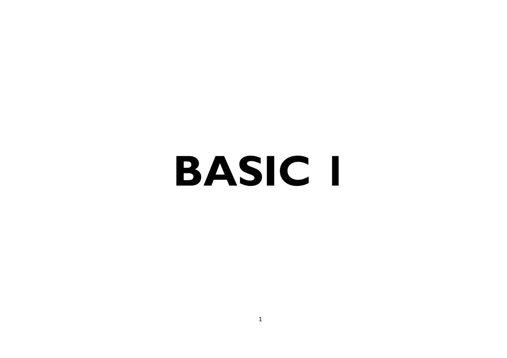# <span id="page-22-0"></span>**BASIC 1**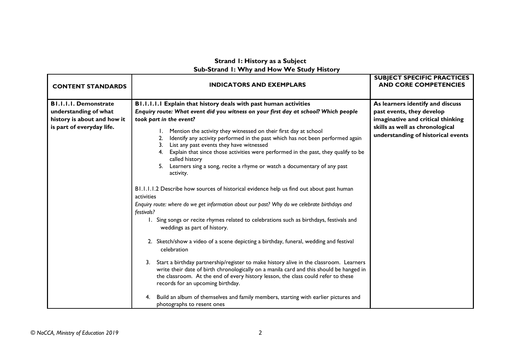### **Strand 1: History as a Subject Sub-Strand 1: Why and How We Study History**

<span id="page-23-0"></span>

| <b>CONTENT STANDARDS</b>                                                             | <b>INDICATORS AND EXEMPLARS</b>                                                                                                                                                                                                                                                                                                                                                                                                                                                                                                                                                                                                                                                                                                                                                                                                                                                                                                                                                                                                                                                                                                                                                                                                                                                                                       | <b>SUBJECT SPECIFIC PRACTICES</b><br><b>AND CORE COMPETENCIES</b>                                  |
|--------------------------------------------------------------------------------------|-----------------------------------------------------------------------------------------------------------------------------------------------------------------------------------------------------------------------------------------------------------------------------------------------------------------------------------------------------------------------------------------------------------------------------------------------------------------------------------------------------------------------------------------------------------------------------------------------------------------------------------------------------------------------------------------------------------------------------------------------------------------------------------------------------------------------------------------------------------------------------------------------------------------------------------------------------------------------------------------------------------------------------------------------------------------------------------------------------------------------------------------------------------------------------------------------------------------------------------------------------------------------------------------------------------------------|----------------------------------------------------------------------------------------------------|
| <b>BI.I.I.I. Demonstrate</b><br>understanding of what<br>history is about and how it | B1.1.1.1.1 Explain that history deals with past human activities<br>Enquiry route: What event did you witness on your first day at school? Which people<br>took part in the event?                                                                                                                                                                                                                                                                                                                                                                                                                                                                                                                                                                                                                                                                                                                                                                                                                                                                                                                                                                                                                                                                                                                                    | As learners identify and discuss<br>past events, they develop<br>imaginative and critical thinking |
| is part of everyday life.                                                            | Mention the activity they witnessed on their first day at school<br>Identify any activity performed in the past which has not been performed again<br>List any past events they have witnessed<br>3.<br>Explain that since those activities were performed in the past, they qualify to be<br>called history<br>Learners sing a song, recite a rhyme or watch a documentary of any past<br>5.<br>activity.<br>B1.1.1.1.2 Describe how sources of historical evidence help us find out about past human<br>activities<br>Enquiry route: where do we get information about our past? Why do we celebrate birthdays and<br>festivals?<br>1. Sing songs or recite rhymes related to celebrations such as birthdays, festivals and<br>weddings as part of history.<br>2. Sketch/show a video of a scene depicting a birthday, funeral, wedding and festival<br>celebration<br>Start a birthday partnership/register to make history alive in the classroom. Learners<br>3.<br>write their date of birth chronologically on a manila card and this should be hanged in<br>the classroom. At the end of every history lesson, the class could refer to these<br>records for an upcoming birthday.<br>Build an album of themselves and family members, starting with earlier pictures and<br>4.<br>photographs to resent ones | skills as well as chronological<br>understanding of historical events                              |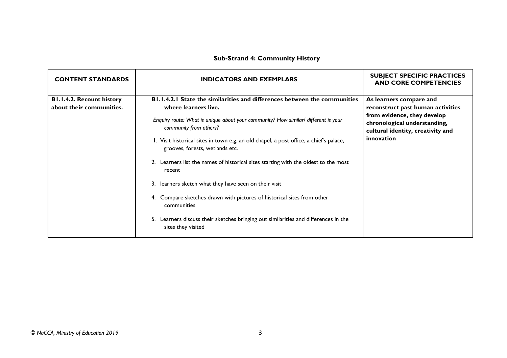# **Sub-Strand 4: Community History**

<span id="page-24-0"></span>

| <b>CONTENT STANDARDS</b>                                     | <b>INDICATORS AND EXEMPLARS</b>                                                                                                                                                                                                                                                                                                                                                                                                                                                                                                                                                                                                                                                                                       | <b>SUBJECT SPECIFIC PRACTICES</b><br><b>AND CORE COMPETENCIES</b>                                                                                                              |
|--------------------------------------------------------------|-----------------------------------------------------------------------------------------------------------------------------------------------------------------------------------------------------------------------------------------------------------------------------------------------------------------------------------------------------------------------------------------------------------------------------------------------------------------------------------------------------------------------------------------------------------------------------------------------------------------------------------------------------------------------------------------------------------------------|--------------------------------------------------------------------------------------------------------------------------------------------------------------------------------|
| <b>B1.1.4.2. Recount history</b><br>about their communities. | <b>B1.1.4.2.1 State the similarities and differences between the communities</b><br>where learners live.<br>Enquiry route: What is unique about your community? How similar/ different is your<br>community from others?<br>1. Visit historical sites in town e.g. an old chapel, a post office, a chief's palace,<br>grooves, forests, wetlands etc.<br>Learners list the names of historical sites starting with the oldest to the most<br>recent<br>3. learners sketch what they have seen on their visit<br>4. Compare sketches drawn with pictures of historical sites from other<br>communities<br>Learners discuss their sketches bringing out similarities and differences in the<br>5.<br>sites they visited | As learners compare and<br>reconstruct past human activities<br>from evidence, they develop<br>chronological understanding,<br>cultural identity, creativity and<br>innovation |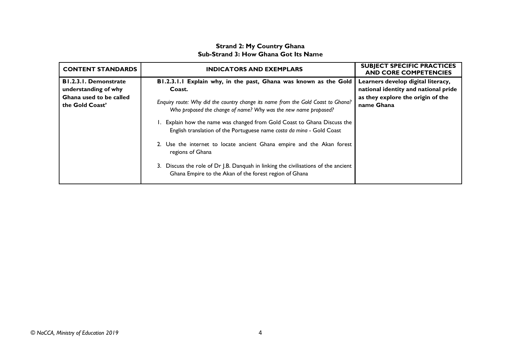#### **Strand 2: My Country Ghana Sub-Strand 3: How Ghana Got Its Name**

| <b>CONTENT STANDARDS</b>                                                                           | <b>INDICATORS AND EXEMPLARS</b>                                                                                                                                                                                                                                                                                                                                                                                                                                                                                                                                                                                                   | <b>SUBJECT SPECIFIC PRACTICES</b><br><b>AND CORE COMPETENCIES</b>                                                             |
|----------------------------------------------------------------------------------------------------|-----------------------------------------------------------------------------------------------------------------------------------------------------------------------------------------------------------------------------------------------------------------------------------------------------------------------------------------------------------------------------------------------------------------------------------------------------------------------------------------------------------------------------------------------------------------------------------------------------------------------------------|-------------------------------------------------------------------------------------------------------------------------------|
| <b>B1.2.3.1. Demonstrate</b><br>understanding of why<br>Ghana used to be called<br>the Gold Coast' | B1.2.3.1.1 Explain why, in the past, Ghana was known as the Gold<br>Coast.<br>Enquiry route: Why did the country change its name from the Gold Coast to Ghana?<br>Who proposed the change of name? Why was the new name proposed?<br>Explain how the name was changed from Gold Coast to Ghana Discuss the<br>English translation of the Portuguese name costa da mina - Gold Coast<br>2. Use the internet to locate ancient Ghana empire and the Akan forest<br>regions of Ghana<br>3. Discuss the role of Dr J.B. Danquah in linking the civilisations of the ancient<br>Ghana Empire to the Akan of the forest region of Ghana | Learners develop digital literacy,<br>national identity and national pride<br>as they explore the origin of the<br>name Ghana |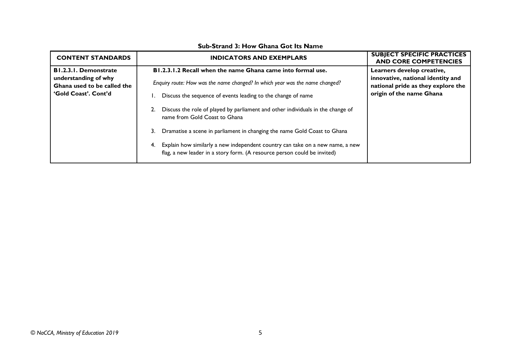| <b>CONTENT STANDARDS</b>                                                                                    | <b>INDICATORS AND EXEMPLARS</b>                                                                                                                                                                                                                                                                                                                                                                                                                                                                                                                                                      | <b>SUBJECT SPECIFIC PRACTICES</b><br><b>AND CORE COMPETENCIES</b>                                                                 |
|-------------------------------------------------------------------------------------------------------------|--------------------------------------------------------------------------------------------------------------------------------------------------------------------------------------------------------------------------------------------------------------------------------------------------------------------------------------------------------------------------------------------------------------------------------------------------------------------------------------------------------------------------------------------------------------------------------------|-----------------------------------------------------------------------------------------------------------------------------------|
| <b>B1.2.3.1. Demonstrate</b><br>understanding of why<br>Ghana used to be called the<br>'Gold Coast', Cont'd | B1.2.3.1.2 Recall when the name Ghana came into formal use.<br>Enquiry route: How was the name changed? In which year was the name changed?<br>Discuss the sequence of events leading to the change of name<br>Discuss the role of played by parliament and other individuals in the change of<br>name from Gold Coast to Ghana<br>Dramatise a scene in parliament in changing the name Gold Coast to Ghana<br>3.<br>Explain how similarly a new independent country can take on a new name, a new<br>4.<br>flag, a new leader in a story form. (A resource person could be invited) | Learners develop creative,<br>innovative, national identity and<br>national pride as they explore the<br>origin of the name Ghana |

#### **Sub-Strand 3: How Ghana Got Its Name**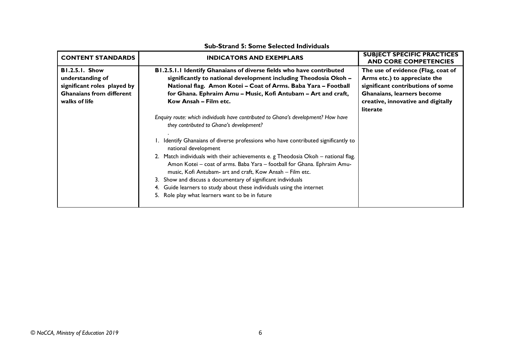| <b>CONTENT STANDARDS</b>                                                                                                     | <b>INDICATORS AND EXEMPLARS</b>                                                                                                                                                                                                                                                                                                                                                                                                                                                                                                                                                                                                                                                                                                                                                                                                                                                                                                                                               | <b>SUBJECT SPECIFIC PRACTICES</b><br><b>AND CORE COMPETENCIES</b>                                                                                                                       |
|------------------------------------------------------------------------------------------------------------------------------|-------------------------------------------------------------------------------------------------------------------------------------------------------------------------------------------------------------------------------------------------------------------------------------------------------------------------------------------------------------------------------------------------------------------------------------------------------------------------------------------------------------------------------------------------------------------------------------------------------------------------------------------------------------------------------------------------------------------------------------------------------------------------------------------------------------------------------------------------------------------------------------------------------------------------------------------------------------------------------|-----------------------------------------------------------------------------------------------------------------------------------------------------------------------------------------|
| <b>B1.2.5.1. Show</b><br>understanding of<br>significant roles played by<br><b>Ghanaians from different</b><br>walks of life | B1.2.5.1.1 Identify Ghanaians of diverse fields who have contributed<br>significantly to national development including Theodosia Okoh -<br>National flag. Amon Kotei - Coat of Arms. Baba Yara - Football<br>for Ghana. Ephraim Amu - Music, Kofi Antubam - Art and craft,<br>Kow Ansah - Film etc.<br>Enquiry route: which individuals have contributed to Ghana's development? How have<br>they contributed to Ghana's development?<br>1. Identify Ghanaians of diverse professions who have contributed significantly to<br>national development<br>2. Match individuals with their achievements e. g Theodosia Okoh - national flag.<br>Amon Kotei - coat of arms. Baba Yara - football for Ghana. Ephraim Amu-<br>music, Kofi Antubam- art and craft, Kow Ansah – Film etc.<br>3. Show and discuss a documentary of significant individuals<br>4. Guide learners to study about these individuals using the internet<br>5. Role play what learners want to be in future | The use of evidence (Flag, coat of<br>Arms etc.) to appreciate the<br>significant contributions of some<br>Ghanaians, learners become<br>creative, innovative and digitally<br>literate |
|                                                                                                                              |                                                                                                                                                                                                                                                                                                                                                                                                                                                                                                                                                                                                                                                                                                                                                                                                                                                                                                                                                                               |                                                                                                                                                                                         |

#### **Sub-Strand 5: Some Selected Individuals**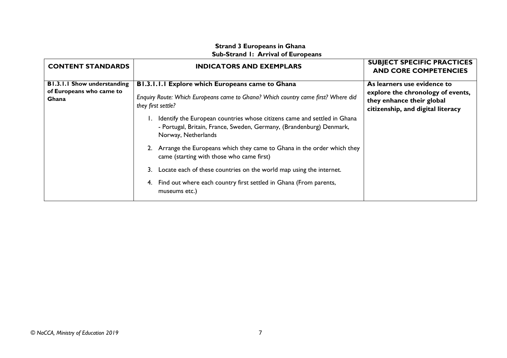### **Strand 3 Europeans in Ghana Sub-Strand 1: Arrival of Europeans**

<span id="page-28-0"></span>

| <b>CONTENT STANDARDS</b>           | <b>INDICATORS AND EXEMPLARS</b>                                                                                                                                         | <b>SUBJECT SPECIFIC PRACTICES</b><br><b>AND CORE COMPETENCIES</b>                                   |
|------------------------------------|-------------------------------------------------------------------------------------------------------------------------------------------------------------------------|-----------------------------------------------------------------------------------------------------|
| <b>B1.3.1.1 Show understanding</b> | B1.3.1.1.1 Explore which Europeans came to Ghana                                                                                                                        | As learners use evidence to                                                                         |
| of Europeans who came to<br>Ghana  | Enquiry Route: Which Europeans came to Ghana? Which country came first? Where did<br>they first settle?                                                                 | explore the chronology of events,<br>they enhance their global<br>citizenship, and digital literacy |
|                                    | Identify the European countries whose citizens came and settled in Ghana<br>- Portugal, Britain, France, Sweden, Germany, (Brandenburg) Denmark,<br>Norway, Netherlands |                                                                                                     |
|                                    | 2. Arrange the Europeans which they came to Ghana in the order which they<br>came (starting with those who came first)                                                  |                                                                                                     |
|                                    | Locate each of these countries on the world map using the internet.<br>3.                                                                                               |                                                                                                     |
|                                    | 4. Find out where each country first settled in Ghana (From parents,<br>museums etc.)                                                                                   |                                                                                                     |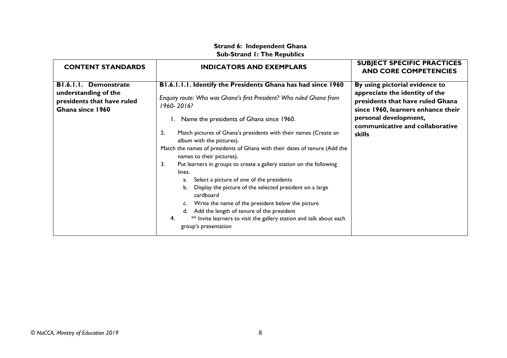# **Strand 6: Independent Ghana Sub-Strand 1: The Republics**

<span id="page-29-0"></span>

| <b>CONTENT STANDARDS</b>                                                                               | <b>INDICATORS AND EXEMPLARS</b>                                                                                                                                                                                                                                                                                                                             | <b>SUBJECT SPECIFIC PRACTICES</b><br><b>AND CORE COMPETENCIES</b>                                                                          |
|--------------------------------------------------------------------------------------------------------|-------------------------------------------------------------------------------------------------------------------------------------------------------------------------------------------------------------------------------------------------------------------------------------------------------------------------------------------------------------|--------------------------------------------------------------------------------------------------------------------------------------------|
| <b>BI.6.I.I. Demonstrate</b><br>understanding of the<br>presidents that have ruled<br>Ghana since 1960 | B1.6.1.1.1. Identify the Presidents Ghana has had since 1960<br>Enquiry route: Who was Ghana's first President? Who ruled Ghana from<br>1960-2016?                                                                                                                                                                                                          | By using pictorial evidence to<br>appreciate the identity of the<br>presidents that have ruled Ghana<br>since 1960, learners enhance their |
|                                                                                                        | 1. Name the presidents of Ghana since 1960.                                                                                                                                                                                                                                                                                                                 | personal development,<br>communicative and collaborative                                                                                   |
|                                                                                                        | Match pictures of Ghana's presidents with their names (Create an<br>2.<br>album with the pictures).<br>Match the names of presidents of Ghana with their dates of tenure (Add the<br>names to their pictures).<br>Put learners in groups to create a gallery station on the following<br>3.                                                                 | <b>skills</b>                                                                                                                              |
|                                                                                                        | lines.<br>Select a picture of one of the presidents<br>a.<br>Display the picture of the selected president on a large<br>b.<br>cardboard<br>Write the name of the president below the picture<br>C.<br>Add the length of tenure of the president<br>d.<br>4.<br>** Invite learners to visit the gallery station and talk about each<br>group's presentation |                                                                                                                                            |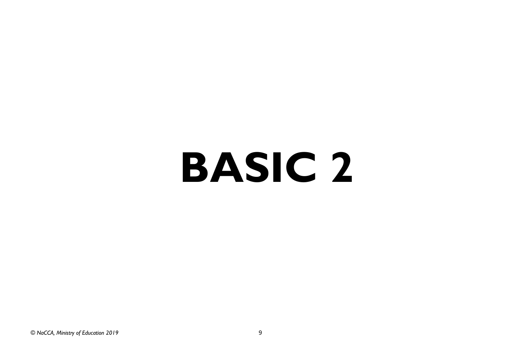# **BASIC 2**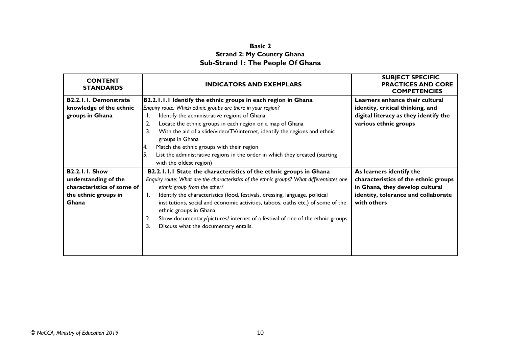# **Basic 2 Strand 2: My Country Ghana Sub-Strand 1: The People Of Ghana**

<span id="page-31-2"></span><span id="page-31-1"></span><span id="page-31-0"></span>

| <b>CONTENT</b><br><b>STANDARDS</b>                                                                           | <b>INDICATORS AND EXEMPLARS</b>                                                                                                                                                                                                                                                                                                                                                                                                                                                                                                           | <b>SUBJECT SPECIFIC</b><br><b>PRACTICES AND CORE</b><br><b>COMPETENCIES</b>                                                                               |
|--------------------------------------------------------------------------------------------------------------|-------------------------------------------------------------------------------------------------------------------------------------------------------------------------------------------------------------------------------------------------------------------------------------------------------------------------------------------------------------------------------------------------------------------------------------------------------------------------------------------------------------------------------------------|-----------------------------------------------------------------------------------------------------------------------------------------------------------|
| <b>B2.2.1.1. Demonstrate</b><br>knowledge of the ethnic<br>groups in Ghana                                   | B2.2.1.1.1 Identify the ethnic groups in each region in Ghana<br>Enquiry route: Which ethnic groups are there in your region?<br>Identify the administrative regions of Ghana<br>Ι.<br>Locate the ethnic groups in each region on a map of Ghana<br>2.<br>With the aid of a slide/video/TV/internet, identify the regions and ethnic<br>3.<br>groups in Ghana<br>Match the ethnic groups with their region<br>14.<br>List the administrative regions in the order in which they created (starting<br>with the oldest region)              | Learners enhance their cultural<br>identity, critical thinking, and<br>digital literacy as they identify the<br>various ethnic groups                     |
| <b>B2.2.1.1. Show</b><br>understanding of the<br>characteristics of some of<br>the ethnic groups in<br>Ghana | B2.2.1.1.1 State the characteristics of the ethnic groups in Ghana<br>Enquiry route: What are the characteristics of the ethnic groups? What differentiates one<br>ethnic group from the other?<br>Identify the characteristics (food, festivals, dressing, language, political<br>Ι.<br>institutions, social and economic activities, taboos, oaths etc.) of some of the<br>ethnic groups in Ghana<br>Show documentary/pictures/ internet of a festival of one of the ethnic groups<br>2.<br>3.<br>Discuss what the documentary entails. | As learners identify the<br>characteristics of the ethnic groups<br>in Ghana, they develop cultural<br>identity, tolerance and collaborate<br>with others |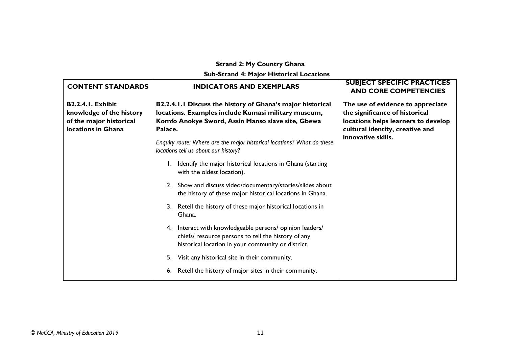# **Strand 2: My Country Ghana**

**Sub-Strand 4: Major Historical Locations**

<span id="page-32-0"></span>

| <b>CONTENT STANDARDS</b>                                                                              | <b>INDICATORS AND EXEMPLARS</b>                                                                                                                                                                                                                                                                                                                                                                                                                                                                                                                                                                                                                                                                                                                                                                                                      | <b>SUBJECT SPECIFIC PRACTICES</b><br><b>AND CORE COMPETENCIES</b>                                                                                                   |
|-------------------------------------------------------------------------------------------------------|--------------------------------------------------------------------------------------------------------------------------------------------------------------------------------------------------------------------------------------------------------------------------------------------------------------------------------------------------------------------------------------------------------------------------------------------------------------------------------------------------------------------------------------------------------------------------------------------------------------------------------------------------------------------------------------------------------------------------------------------------------------------------------------------------------------------------------------|---------------------------------------------------------------------------------------------------------------------------------------------------------------------|
| <b>B2.2.4.1. Exhibit</b><br>knowledge of the history<br>of the major historical<br>locations in Ghana | B2.2.4.1.1 Discuss the history of Ghana's major historical<br>locations. Examples include Kumasi military museum,<br>Komfo Anokye Sword, Assin Manso slave site, Gbewa<br>Palace.<br>Enquiry route: Where are the major historical locations? What do these<br>locations tell us about our history?<br>Identify the major historical locations in Ghana (starting<br>with the oldest location).<br>2. Show and discuss video/documentary/stories/slides about<br>the history of these major historical locations in Ghana.<br>Retell the history of these major historical locations in<br>Ghana.<br>Interact with knowledgeable persons/ opinion leaders/<br>4.<br>chiefs/ resource persons to tell the history of any<br>historical location in your community or district.<br>Visit any historical site in their community.<br>5. | The use of evidence to appreciate<br>the significance of historical<br>locations helps learners to develop<br>cultural identity, creative and<br>innovative skills. |
|                                                                                                       | Retell the history of major sites in their community.<br>6.                                                                                                                                                                                                                                                                                                                                                                                                                                                                                                                                                                                                                                                                                                                                                                          |                                                                                                                                                                     |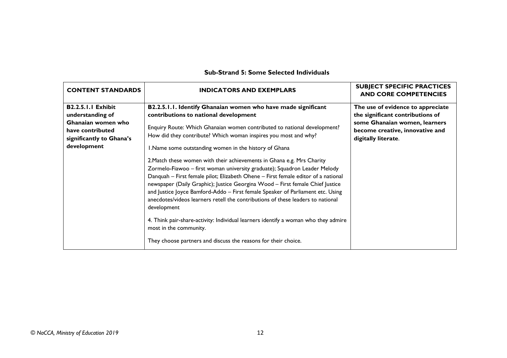| <b>CONTENT STANDARDS</b>                                                                                                           | <b>INDICATORS AND EXEMPLARS</b>                                                                                                                                                                                                                                                                                                                                                                                                                                                                                                                                                                                                                                                                                                                                                                                                                                                                                                                                                                                   | <b>SUBJECT SPECIFIC PRACTICES</b><br><b>AND CORE COMPETENCIES</b>                                                                                                |
|------------------------------------------------------------------------------------------------------------------------------------|-------------------------------------------------------------------------------------------------------------------------------------------------------------------------------------------------------------------------------------------------------------------------------------------------------------------------------------------------------------------------------------------------------------------------------------------------------------------------------------------------------------------------------------------------------------------------------------------------------------------------------------------------------------------------------------------------------------------------------------------------------------------------------------------------------------------------------------------------------------------------------------------------------------------------------------------------------------------------------------------------------------------|------------------------------------------------------------------------------------------------------------------------------------------------------------------|
| <b>B2.2.5.1.1 Exhibit</b><br>understanding of<br>Ghanaian women who<br>have contributed<br>significantly to Ghana's<br>development | B2.2.5.1.1. Identify Ghanaian women who have made significant<br>contributions to national development<br>Enquiry Route: Which Ghanaian women contributed to national development?<br>How did they contribute? Which woman inspires you most and why?<br>I.Name some outstanding women in the history of Ghana<br>2. Match these women with their achievements in Ghana e.g. Mrs Charity<br>Zormelo-Fiawoo - first woman university graduate); Squadron Leader Melody<br>Danquah - First female pilot; Elizabeth Ohene - First female editor of a national<br>newspaper (Daily Graphic); Justice Georgina Wood - First female Chief Justice<br>and Justice Joyce Bamford-Addo - First female Speaker of Parliament etc. Using<br>anecdotes/videos learners retell the contributions of these leaders to national<br>development<br>4. Think pair-share-activity: Individual learners identify a woman who they admire<br>most in the community.<br>They choose partners and discuss the reasons for their choice. | The use of evidence to appreciate<br>the significant contributions of<br>some Ghanaian women, learners<br>become creative, innovative and<br>digitally literate. |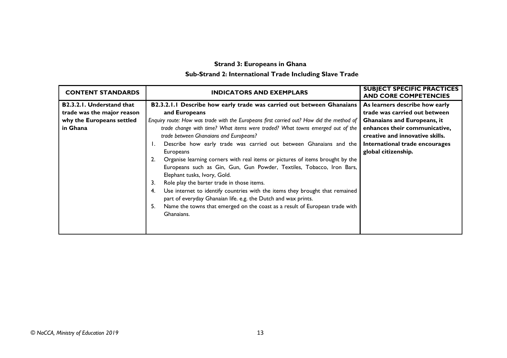# **Strand 3: Europeans in Ghana Sub-Strand 2: International Trade Including Slave Trade**

<span id="page-34-0"></span>

| <b>CONTENT STANDARDS</b>         | <b>INDICATORS AND EXEMPLARS</b>                                                          | <b>SUBJECT SPECIFIC PRACTICES</b><br><b>AND CORE COMPETENCIES</b> |
|----------------------------------|------------------------------------------------------------------------------------------|-------------------------------------------------------------------|
| <b>B2.3.2.1. Understand that</b> | B2.3.2.1.1 Describe how early trade was carried out between Ghanaians                    | As learners describe how early                                    |
| trade was the major reason       | and Europeans                                                                            | trade was carried out between                                     |
| why the Europeans settled        | Enquiry route: How was trade with the Europeans first carried out? How did the method of | <b>Ghanaians and Europeans, it</b>                                |
| in Ghana                         | trade change with time? What items were traded? What towns emerged out of the            | enhances their communicative,                                     |
|                                  | trade between Ghanaians and Europeans?                                                   | creative and innovative skills.                                   |
|                                  | Describe how early trade was carried out between Ghanaians and the                       | International trade encourages                                    |
|                                  | Europeans                                                                                | global citizenship.                                               |
|                                  | Organise learning corners with real items or pictures of items brought by the            |                                                                   |
|                                  | Europeans such as Gin, Gun, Gun Powder, Textiles, Tobacco, Iron Bars,                    |                                                                   |
|                                  | Elephant tusks, Ivory, Gold.                                                             |                                                                   |
|                                  | 3.<br>Role play the barter trade in those items.                                         |                                                                   |
|                                  | Use internet to identify countries with the items they brought that remained<br>4.       |                                                                   |
|                                  | part of everyday Ghanaian life. e.g. the Dutch and wax prints.                           |                                                                   |
|                                  | Name the towns that emerged on the coast as a result of European trade with<br>5.        |                                                                   |
|                                  | Ghanaians.                                                                               |                                                                   |
|                                  |                                                                                          |                                                                   |
|                                  |                                                                                          |                                                                   |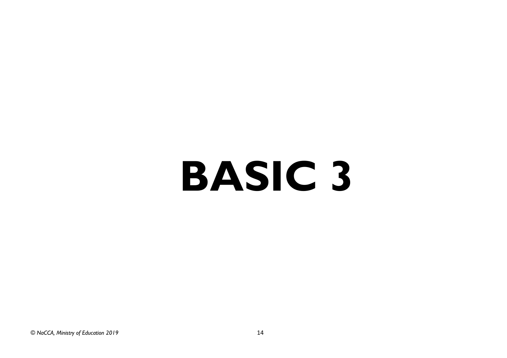# **BASIC 3**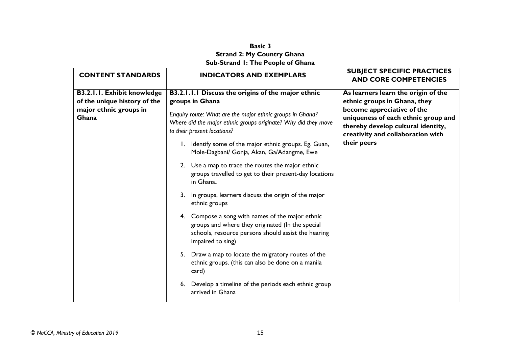### **Basic 3 Strand 2: My Country Ghana Sub-Strand 1: The People of Ghana**

<span id="page-36-1"></span><span id="page-36-0"></span>

| <b>CONTENT STANDARDS</b>                                           | <b>INDICATORS AND EXEMPLARS</b>                                                                                                                                                  | <b>SUBJECT SPECIFIC PRACTICES</b><br><b>AND CORE COMPETENCIES</b>                                                                            |
|--------------------------------------------------------------------|----------------------------------------------------------------------------------------------------------------------------------------------------------------------------------|----------------------------------------------------------------------------------------------------------------------------------------------|
| <b>B3.2.1.1. Exhibit knowledge</b><br>of the unique history of the | B3.2.1.1.1 Discuss the origins of the major ethnic<br>groups in Ghana                                                                                                            | As learners learn the origin of the<br>ethnic groups in Ghana, they                                                                          |
| major ethnic groups in<br>Ghana                                    | Enquiry route: What are the major ethnic groups in Ghana?<br>Where did the major ethnic groups originate? Why did they move<br>to their present locations?                       | become appreciative of the<br>uniqueness of each ethnic group and<br>thereby develop cultural identity,<br>creativity and collaboration with |
|                                                                    | 1. Identify some of the major ethnic groups. Eg. Guan,<br>Mole-Dagbani/ Gonja, Akan, Ga/Adangme, Ewe                                                                             | their peers                                                                                                                                  |
|                                                                    | 2. Use a map to trace the routes the major ethnic<br>groups travelled to get to their present-day locations<br>in Ghana.                                                         |                                                                                                                                              |
|                                                                    | 3. In groups, learners discuss the origin of the major<br>ethnic groups                                                                                                          |                                                                                                                                              |
|                                                                    | 4. Compose a song with names of the major ethnic<br>groups and where they originated (In the special<br>schools, resource persons should assist the hearing<br>impaired to sing) |                                                                                                                                              |
|                                                                    | 5. Draw a map to locate the migratory routes of the<br>ethnic groups. (this can also be done on a manila<br>card)                                                                |                                                                                                                                              |
|                                                                    | 6. Develop a timeline of the periods each ethnic group<br>arrived in Ghana                                                                                                       |                                                                                                                                              |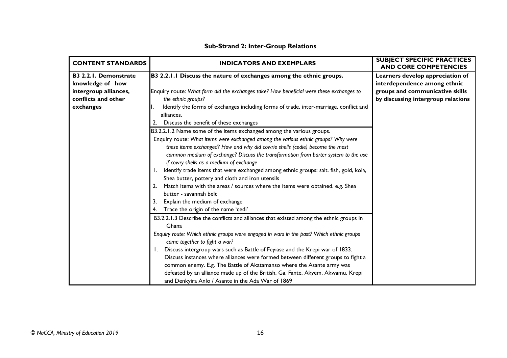| <b>CONTENT STANDARDS</b>     | <b>INDICATORS AND EXEMPLARS</b>                                                          | <b>SUBJECT SPECIFIC PRACTICES</b><br><b>AND CORE COMPETENCIES</b> |
|------------------------------|------------------------------------------------------------------------------------------|-------------------------------------------------------------------|
| <b>B3 2.2.1. Demonstrate</b> | B3 2.2.1.1 Discuss the nature of exchanges among the ethnic groups.                      | Learners develop appreciation of                                  |
| knowledge of how             |                                                                                          | interdependence among ethnic                                      |
| intergroup alliances,        | Enquiry route: What form did the exchanges take? How beneficial were these exchanges to  | groups and communicative skills                                   |
| conflicts and other          | the ethnic groups?                                                                       | by discussing intergroup relations                                |
| exchanges                    | Identify the forms of exchanges including forms of trade, inter-marriage, conflict and   |                                                                   |
|                              | alliances.                                                                               |                                                                   |
|                              | Discuss the benefit of these exchanges<br>2.                                             |                                                                   |
|                              | B3.2.2.1.2 Name some of the items exchanged among the various groups.                    |                                                                   |
|                              | Enquiry route: What items were exchanged among the various ethnic groups? Why were       |                                                                   |
|                              | these items exchanged? How and why did cowrie shells (cedie) become the most             |                                                                   |
|                              | common medium of exchange? Discuss the transformation from barter system to the use      |                                                                   |
|                              | if cowry shells as a medium of exchange                                                  |                                                                   |
|                              | Identify trade items that were exchanged among ethnic groups: salt. fish, gold, kola,    |                                                                   |
|                              | Shea butter, pottery and cloth and iron utensils                                         |                                                                   |
|                              | 2. Match items with the areas / sources where the items were obtained. e.g. Shea         |                                                                   |
|                              | butter - savannah belt                                                                   |                                                                   |
|                              | Explain the medium of exchange<br>3.                                                     |                                                                   |
|                              | Trace the origin of the name 'cedi'<br>4.                                                |                                                                   |
|                              | B3.2.2.1.3 Describe the conflicts and alliances that existed among the ethnic groups in  |                                                                   |
|                              | Ghana                                                                                    |                                                                   |
|                              | Enquiry route: Which ethnic groups were engaged in wars in the past? Which ethnic groups |                                                                   |
|                              | came together to fight a war?                                                            |                                                                   |
|                              | Discuss intergroup wars such as Battle of Feyiase and the Krepi war of 1833.<br>Ι.       |                                                                   |
|                              | Discuss instances where alliances were formed between different groups to fight a        |                                                                   |
|                              | common enemy. E.g. The Battle of Akatamanso where the Asante army was                    |                                                                   |
|                              | defeated by an alliance made up of the British, Ga, Fante, Akyem, Akwamu, Krepi          |                                                                   |
|                              | and Denkyira Anlo / Asante in the Ada War of 1869                                        |                                                                   |

# **Sub-Strand 2: Inter-Group Relations**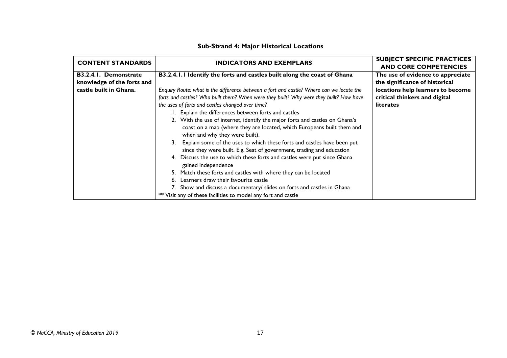| <b>CONTENT STANDARDS</b>   |                                                                                                                                                                                          | <b>SUBJECT SPECIFIC PRACTICES</b> |
|----------------------------|------------------------------------------------------------------------------------------------------------------------------------------------------------------------------------------|-----------------------------------|
|                            | <b>INDICATORS AND EXEMPLARS</b>                                                                                                                                                          | <b>AND CORE COMPETENCIES</b>      |
| B3.2.4.1. Demonstrate      | B3.2.4.1.1 Identify the forts and castles built along the coast of Ghana                                                                                                                 | The use of evidence to appreciate |
| knowledge of the forts and |                                                                                                                                                                                          | the significance of historical    |
| castle built in Ghana.     | Enquiry Route: what is the difference between a fort and castle? Where can we locate the                                                                                                 | locations help learners to become |
|                            | forts and castles? Who built them? When were they built? Why were they built? How have                                                                                                   | critical thinkers and digital     |
|                            | the uses of forts and castles changed over time?                                                                                                                                         | <b>literates</b>                  |
|                            | 1. Explain the differences between forts and castles                                                                                                                                     |                                   |
|                            | 2. With the use of internet, identify the major forts and castles on Ghana's<br>coast on a map (where they are located, which Europeans built them and<br>when and why they were built). |                                   |
|                            | 3. Explain some of the uses to which these forts and castles have been put<br>since they were built. E.g. Seat of government, trading and education                                      |                                   |
|                            | 4. Discuss the use to which these forts and castles were put since Ghana<br>gained independence                                                                                          |                                   |
|                            | 5. Match these forts and castles with where they can be located                                                                                                                          |                                   |
|                            | Learners draw their favourite castle                                                                                                                                                     |                                   |
|                            | 7. Show and discuss a documentary/ slides on forts and castles in Ghana                                                                                                                  |                                   |
|                            | ** Visit any of these facilities to model any fort and castle                                                                                                                            |                                   |

#### **Sub-Strand 4: Major Historical Locations**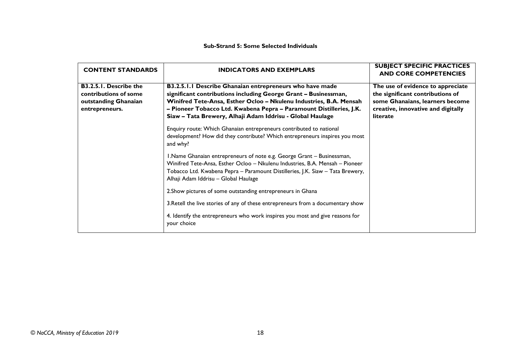#### **Sub-Strand 5: Some Selected Individuals**

| <b>CONTENT STANDARDS</b>                                                                         | <b>INDICATORS AND EXEMPLARS</b>                                                                                                                                                                                                                                                                                                       | <b>SUBJECT SPECIFIC PRACTICES</b><br><b>AND CORE COMPETENCIES</b>                                                                                          |
|--------------------------------------------------------------------------------------------------|---------------------------------------------------------------------------------------------------------------------------------------------------------------------------------------------------------------------------------------------------------------------------------------------------------------------------------------|------------------------------------------------------------------------------------------------------------------------------------------------------------|
| <b>B3.2.5.1. Describe the</b><br>contributions of some<br>outstanding Ghanaian<br>entrepreneurs. | B3.2.5.1.1 Describe Ghanaian entrepreneurs who have made<br>significant contributions including George Grant - Businessman,<br>Winifred Tete-Ansa, Esther Ocloo - Nkulenu Industries, B.A. Mensah<br>- Pioneer Tobacco Ltd. Kwabena Pepra - Paramount Distilleries, J.K.<br>Siaw - Tata Brewery, Alhaji Adam Iddrisu - Global Haulage | The use of evidence to appreciate<br>the significant contributions of<br>some Ghanaians, learners become<br>creative, innovative and digitally<br>literate |
|                                                                                                  | Enquiry route: Which Ghanaian entrepreneurs contributed to national<br>development? How did they contribute? Which entrepreneurs inspires you most<br>and why?                                                                                                                                                                        |                                                                                                                                                            |
|                                                                                                  | I.Name Ghanaian entrepreneurs of note e.g. George Grant - Businessman,<br>Winifred Tete-Ansa, Esther Ocloo - Nkulenu Industries, B.A. Mensah - Pioneer<br>Tobacco Ltd. Kwabena Pepra - Paramount Distilleries, J.K. Siaw - Tata Brewery,<br>Alhaji Adam Iddrisu - Global Haulage                                                      |                                                                                                                                                            |
|                                                                                                  | 2. Show pictures of some outstanding entrepreneurs in Ghana                                                                                                                                                                                                                                                                           |                                                                                                                                                            |
|                                                                                                  | 3. Retell the live stories of any of these entrepreneurs from a documentary show                                                                                                                                                                                                                                                      |                                                                                                                                                            |
|                                                                                                  | 4. Identify the entrepreneurs who work inspires you most and give reasons for<br>your choice                                                                                                                                                                                                                                          |                                                                                                                                                            |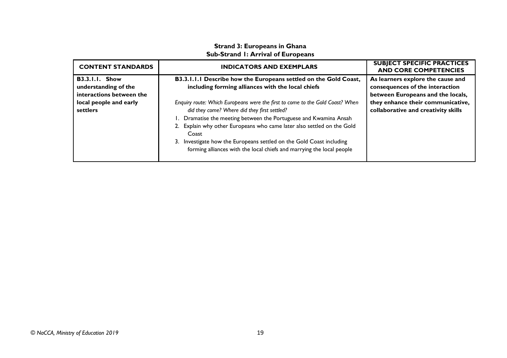# **Strand 3: Europeans in Ghana Sub-Strand 1: Arrival of Europeans**

<span id="page-40-0"></span>

| <b>CONTENT STANDARDS</b>                                                  | <b>INDICATORS AND EXEMPLARS</b>                                                                                                                                                                                                                                                                                                                                                                                                           | <b>SUBJECT SPECIFIC PRACTICES</b><br><b>AND CORE COMPETENCIES</b>                                         |
|---------------------------------------------------------------------------|-------------------------------------------------------------------------------------------------------------------------------------------------------------------------------------------------------------------------------------------------------------------------------------------------------------------------------------------------------------------------------------------------------------------------------------------|-----------------------------------------------------------------------------------------------------------|
| <b>B3.3.1.1. Show</b><br>understanding of the<br>interactions between the | B3.3.1.1.1 Describe how the Europeans settled on the Gold Coast,<br>including forming alliances with the local chiefs                                                                                                                                                                                                                                                                                                                     | As learners explore the cause and<br>consequences of the interaction<br>between Europeans and the locals, |
| local people and early<br>settlers                                        | Enquiry route: Which Europeans were the first to come to the Gold Coast? When<br>did they come? Where did they first settled?<br>1. Dramatise the meeting between the Portuguese and Kwamina Ansah<br>2. Explain why other Europeans who came later also settled on the Gold<br>Coast<br>Investigate how the Europeans settled on the Gold Coast including<br>3.<br>forming alliances with the local chiefs and marrying the local people | they enhance their communicative,<br>collaborative and creativity skills                                  |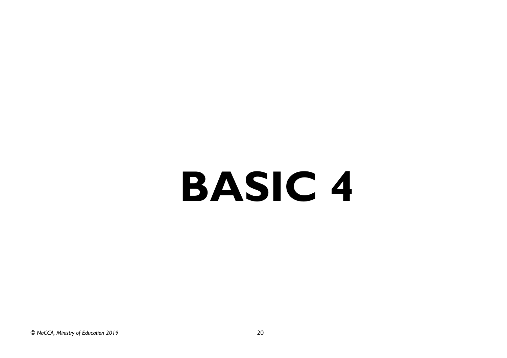# **BASIC 4**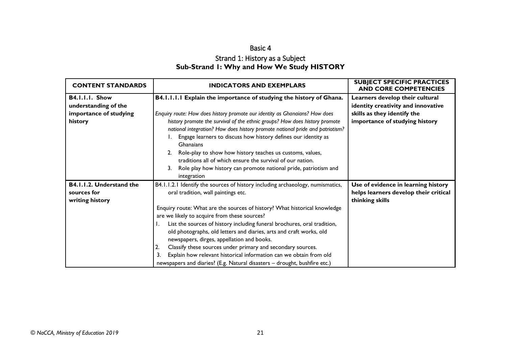# Basic 4 Strand 1: History as a Subject **Sub-Strand 1: Why and How We Study HISTORY**

<span id="page-42-1"></span><span id="page-42-0"></span>

| <b>CONTENT STANDARDS</b>                                                    | <b>INDICATORS AND EXEMPLARS</b>                                                                                                                                                                                                                                                                                                                                                                                                                                                                                                                                                                                                                                                                     | <b>SUBJECT SPECIFIC PRACTICES</b><br><b>AND CORE COMPETENCIES</b>                                                                      |
|-----------------------------------------------------------------------------|-----------------------------------------------------------------------------------------------------------------------------------------------------------------------------------------------------------------------------------------------------------------------------------------------------------------------------------------------------------------------------------------------------------------------------------------------------------------------------------------------------------------------------------------------------------------------------------------------------------------------------------------------------------------------------------------------------|----------------------------------------------------------------------------------------------------------------------------------------|
| B4.I.I.I. Show<br>understanding of the<br>importance of studying<br>history | B4.1.1.1.1 Explain the importance of studying the history of Ghana.<br>Enquiry route: How does history promote our identity as Ghanaians? How does<br>history promote the survival of the ethnic groups? How does history promote<br>national integration? How does history promote national pride and patriotism?<br>Engage learners to discuss how history defines our identity as<br>Ghanaians<br>Role-play to show how history teaches us customs, values,<br>2 <sub>1</sub><br>traditions all of which ensure the survival of our nation.<br>Role play how history can promote national pride, patriotism and<br>3.<br>integration                                                             | Learners develop their cultural<br>identity creativity and innovative<br>skills as they identify the<br>importance of studying history |
| B4.1.1.2. Understand the<br>sources for<br>writing history                  | B4.1.1.2.1 Identify the sources of history including archaeology, numismatics,<br>oral tradition, wall paintings etc.<br>Enquiry route: What are the sources of history? What historical knowledge<br>are we likely to acquire from these sources?<br>List the sources of history including funeral brochures, oral tradition,<br>$\mathbf{I}$ .<br>old photographs, old letters and diaries, arts and craft works, old<br>newspapers, dirges, appellation and books.<br>Classify these sources under primary and secondary sources.<br>2.<br>Explain how relevant historical information can we obtain from old<br>3.<br>newspapers and diaries? (E.g. Natural disasters - drought, bushfire etc.) | Use of evidence in learning history<br>helps learners develop their critical<br>thinking skills                                        |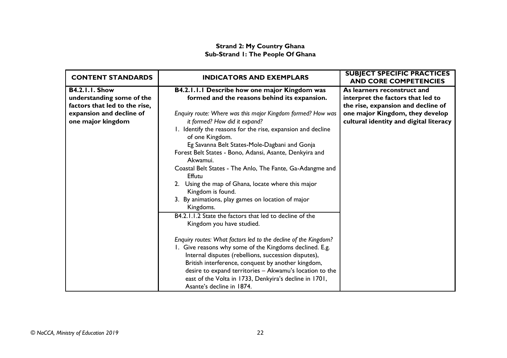# **Strand 2: My Country Ghana Sub-Strand 1: The People Of Ghana**

<span id="page-43-0"></span>

| <b>CONTENT STANDARDS</b>      | <b>INDICATORS AND EXEMPLARS</b>                                                     | <b>SUBJECT SPECIFIC PRACTICES</b><br><b>AND CORE COMPETENCIES</b> |
|-------------------------------|-------------------------------------------------------------------------------------|-------------------------------------------------------------------|
| <b>B4.2.1.1. Show</b>         | B4.2.1.1.1 Describe how one major Kingdom was                                       | As learners reconstruct and                                       |
| understanding some of the     | formed and the reasons behind its expansion.                                        | interpret the factors that led to                                 |
| factors that led to the rise, |                                                                                     | the rise, expansion and decline of                                |
| expansion and decline of      | Enquiry route: Where was this major Kingdom formed? How was                         | one major Kingdom, they develop                                   |
| one major kingdom             | it formed? How did it expand?                                                       | cultural identity and digital literacy                            |
|                               | 1. Identify the reasons for the rise, expansion and decline<br>of one Kingdom.      |                                                                   |
|                               | Eg Savanna Belt States-Mole-Dagbani and Gonja                                       |                                                                   |
|                               | Forest Belt States - Bono, Adansi, Asante, Denkyira and<br>Akwamui.                 |                                                                   |
|                               | Coastal Belt States - The Anlo, The Fante, Ga-Adangme and<br><b>Effutu</b>          |                                                                   |
|                               | 2. Using the map of Ghana, locate where this major<br>Kingdom is found.             |                                                                   |
|                               | 3. By animations, play games on location of major<br>Kingdoms.                      |                                                                   |
|                               | B4.2.1.1.2 State the factors that led to decline of the                             |                                                                   |
|                               | Kingdom you have studied.                                                           |                                                                   |
|                               | Enquiry routes: What factors led to the decline of the Kingdom?                     |                                                                   |
|                               | 1. Give reasons why some of the Kingdoms declined. E.g.                             |                                                                   |
|                               | Internal disputes (rebellions, succession disputes),                                |                                                                   |
|                               | British interference, conquest by another kingdom,                                  |                                                                   |
|                               | desire to expand territories - Akwamu's location to the                             |                                                                   |
|                               | east of the Volta in 1733, Denkyira's decline in 1701,<br>Asante's decline in 1874. |                                                                   |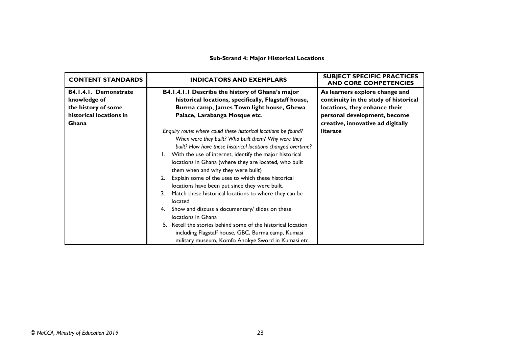#### **Sub-Strand 4: Major Historical Locations**

| <b>CONTENT STANDARDS</b>                                                                         | <b>INDICATORS AND EXEMPLARS</b>                                                                                                                                                                                                                                                                                                                                                                                                                                                                                                                                                                                                                                                                                                                                                                        | <b>SUBJECT SPECIFIC PRACTICES</b><br><b>AND CORE COMPETENCIES</b>                                                                                                             |
|--------------------------------------------------------------------------------------------------|--------------------------------------------------------------------------------------------------------------------------------------------------------------------------------------------------------------------------------------------------------------------------------------------------------------------------------------------------------------------------------------------------------------------------------------------------------------------------------------------------------------------------------------------------------------------------------------------------------------------------------------------------------------------------------------------------------------------------------------------------------------------------------------------------------|-------------------------------------------------------------------------------------------------------------------------------------------------------------------------------|
| B4.1.4.1. Demonstrate<br>knowledge of<br>the history of some<br>historical locations in<br>Ghana | B4.1.4.1.1 Describe the history of Ghana's major<br>historical locations, specifically, Flagstaff house,<br>Burma camp, James Town light house, Gbewa<br>Palace, Larabanga Mosque etc.                                                                                                                                                                                                                                                                                                                                                                                                                                                                                                                                                                                                                 | As learners explore change and<br>continuity in the study of historical<br>locations, they enhance their<br>personal development, become<br>creative, innovative ad digitally |
|                                                                                                  | Enquiry route: where could these historical locations be found?<br>When were they built? Who built them? Why were they<br>built? How have these historical locations changed overtime?<br>1. With the use of internet, identify the major historical<br>locations in Ghana (where they are located, who built<br>them when and why they were built)<br>Explain some of the uses to which these historical<br>2.<br>locations have been put since they were built.<br>Match these historical locations to where they can be<br>3.<br>located<br>Show and discuss a documentary/ slides on these<br>4.<br>locations in Ghana<br>5. Retell the stories behind some of the historical location<br>including Flagstaff house, GBC, Burma camp, Kumasi<br>military museum, Komfo Anokye Sword in Kumasi etc. | literate                                                                                                                                                                      |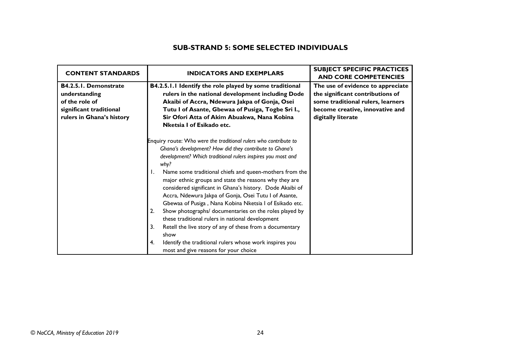# **SUB-STRAND 5: SOME SELECTED INDIVIDUALS**

| <b>CONTENT STANDARDS</b>                                                                                                | <b>INDICATORS AND EXEMPLARS</b>                                                                                                                                                                                                                                                                                                                                                                                                                                                                                                                                                                                                                                                                                                                                                                                        | <b>SUBJECT SPECIFIC PRACTICES</b><br><b>AND CORE COMPETENCIES</b>                                                                                                   |
|-------------------------------------------------------------------------------------------------------------------------|------------------------------------------------------------------------------------------------------------------------------------------------------------------------------------------------------------------------------------------------------------------------------------------------------------------------------------------------------------------------------------------------------------------------------------------------------------------------------------------------------------------------------------------------------------------------------------------------------------------------------------------------------------------------------------------------------------------------------------------------------------------------------------------------------------------------|---------------------------------------------------------------------------------------------------------------------------------------------------------------------|
| <b>B4.2.5.1. Demonstrate</b><br>understanding<br>of the role of<br>significant traditional<br>rulers in Ghana's history | B4.2.5.1.1 Identify the role played by some traditional<br>rulers in the national development including Dode<br>Akaibi of Accra, Ndewura Jakpa of Gonja, Osei<br>Tutu I of Asante, Gbewaa of Pusiga, Togbe Sri I.,<br>Sir Ofori Atta of Akim Abuakwa, Nana Kobina<br>Nketsia I of Esikado etc.                                                                                                                                                                                                                                                                                                                                                                                                                                                                                                                         | The use of evidence to appreciate<br>the significant contributions of<br>some traditional rulers, learners<br>become creative, innovative and<br>digitally literate |
|                                                                                                                         | Enquiry route: Who were the traditional rulers who contribute to<br>Ghana's development? How did they contribute to Ghana's<br>development? Which traditional rulers inspires you most and<br>why?<br>Name some traditional chiefs and queen-mothers from the<br>Ι.<br>major ethnic groups and state the reasons why they are<br>considered significant in Ghana's history. Dode Akaibi of<br>Accra, Ndewura Jakpa of Gonja, Osei Tutu I of Asante,<br>Gbewaa of Pusiga, Nana Kobina Nketsia I of Esikado etc.<br>Show photographs/ documentaries on the roles played by<br>2.<br>these traditional rulers in national development<br>Retell the live story of any of these from a documentary<br>3.<br>show<br>Identify the traditional rulers whose work inspires you<br>4.<br>most and give reasons for your choice |                                                                                                                                                                     |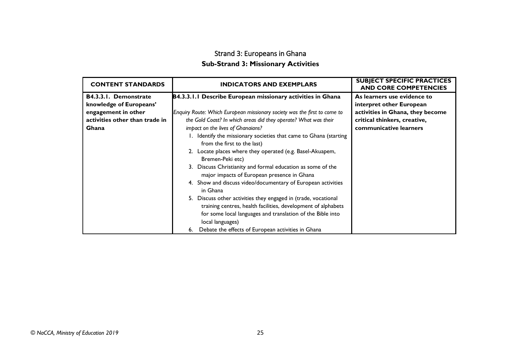# Strand 3: Europeans in Ghana **Sub-Strand 3: Missionary Activities**

<span id="page-46-0"></span>

| <b>CONTENT STANDARDS</b>       | <b>INDICATORS AND EXEMPLARS</b>                                                                                                 | <b>SUBJECT SPECIFIC PRACTICES</b><br><b>AND CORE COMPETENCIES</b> |
|--------------------------------|---------------------------------------------------------------------------------------------------------------------------------|-------------------------------------------------------------------|
| B4.3.3.1. Demonstrate          | B4.3.3.1.1 Describe European missionary activities in Ghana                                                                     | As learners use evidence to                                       |
| knowledge of Europeans'        |                                                                                                                                 | interpret other European                                          |
| engagement in other            | Enquiry Route: Which European missionary society was the first to come to                                                       | activities in Ghana, they become                                  |
| activities other than trade in | the Gold Coast? In which areas did they operate? What was their                                                                 | critical thinkers, creative,                                      |
| Ghana                          | impact on the lives of Ghanaians?                                                                                               | communicative learners                                            |
|                                | 1. Identify the missionary societies that came to Ghana (starting<br>from the first to the last)                                |                                                                   |
|                                | 2. Locate places where they operated (e.g. Basel-Akuapem,<br>Bremen-Peki etc)                                                   |                                                                   |
|                                | 3. Discuss Christianity and formal education as some of the<br>major impacts of European presence in Ghana                      |                                                                   |
|                                | 4. Show and discuss video/documentary of European activities<br>in Ghana                                                        |                                                                   |
|                                | 5. Discuss other activities they engaged in (trade, vocational<br>training centres, health facilities, development of alphabets |                                                                   |
|                                | for some local languages and translation of the Bible into                                                                      |                                                                   |
|                                | local languages)                                                                                                                |                                                                   |
|                                | 6. Debate the effects of European activities in Ghana                                                                           |                                                                   |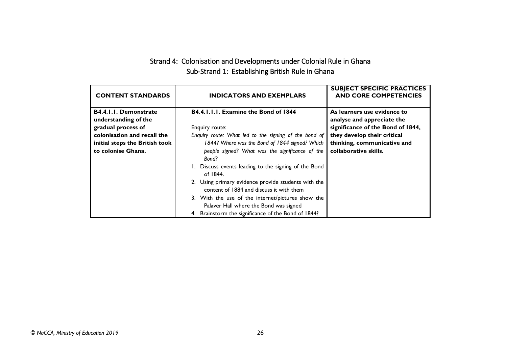# Strand 4: Colonisation and Developments under Colonial Rule in Ghana Sub-Strand 1: Establishing British Rule in Ghana

<span id="page-47-0"></span>

| <b>CONTENT STANDARDS</b>                      | <b>INDICATORS AND EXEMPLARS</b>                                                                 | <b>SUBJECT SPECIFIC PRACTICES</b><br><b>AND CORE COMPETENCIES</b> |
|-----------------------------------------------|-------------------------------------------------------------------------------------------------|-------------------------------------------------------------------|
| B4.4.1.1. Demonstrate<br>understanding of the | B4.4.1.1.1. Examine the Bond of 1844                                                            | As learners use evidence to<br>analyse and appreciate the         |
| gradual process of                            | Enquiry route:                                                                                  | significance of the Bond of 1844,                                 |
| colonisation and recall the                   | Enquiry route: What led to the signing of the bond of                                           | they develop their critical                                       |
| initial steps the British took                | 1844? Where was the Bond of 1844 signed? Which                                                  | thinking, communicative and                                       |
| to colonise Ghana.                            | people signed? What was the significance of the<br>Bond?                                        | collaborative skills.                                             |
|                                               | 1. Discuss events leading to the signing of the Bond<br>of 1844.                                |                                                                   |
|                                               | 2. Using primary evidence provide students with the<br>content of 1884 and discuss it with them |                                                                   |
|                                               | 3. With the use of the internet/pictures show the<br>Palaver Hall where the Bond was signed     |                                                                   |
|                                               | Brainstorm the significance of the Bond of 1844?<br>4.                                          |                                                                   |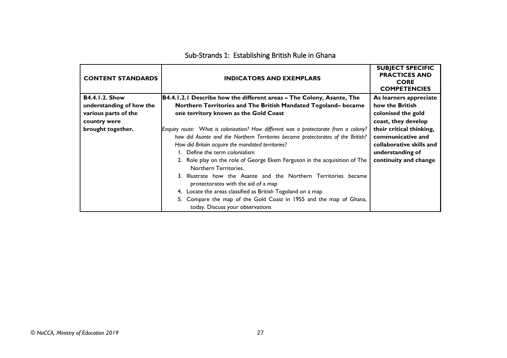| <b>CONTENT STANDARDS</b> | <b>INDICATORS AND EXEMPLARS</b>                                                                         | <b>SUBJECT SPECIFIC</b><br><b>PRACTICES AND</b><br><b>CORE</b><br><b>COMPETENCIES</b> |
|--------------------------|---------------------------------------------------------------------------------------------------------|---------------------------------------------------------------------------------------|
| <b>B4.4.1.2. Show</b>    | B4.4.1.2.1 Describe how the different areas – The Colony, Asante, The                                   | As learners appreciate                                                                |
| understanding of how the | Northern Territories and The British Mandated Togoland-became                                           | how the British                                                                       |
| various parts of the     | one territory known as the Gold Coast                                                                   | colonised the gold                                                                    |
| country were             |                                                                                                         | coast, they develop                                                                   |
| brought together.        | Enquiry route: What is colonisation? How different was a protectorate from a colony?                    | their critical thinking,                                                              |
|                          | how did Asante and the Northern Territories become protectorates of the British?                        | communicative and                                                                     |
|                          | How did Britain acquire the mandated territories?                                                       | collaborative skills and                                                              |
|                          | 1. Define the term colonialism                                                                          | understanding of                                                                      |
|                          | 2. Role play on the role of George Ekem Ferguson in the acquisition of The<br>Northern Territories.     | continuity and change                                                                 |
|                          | 3. Illustrate how the Asante and the Northern Territories became<br>protectorates with the aid of a map |                                                                                       |
|                          | 4. Locate the areas classified as British Togoland on a map                                             |                                                                                       |
|                          | 5. Compare the map of the Gold Coast in 1955 and the map of Ghana,<br>today. Discuss your observations  |                                                                                       |

# Sub-Strands 1: Establishing British Rule in Ghana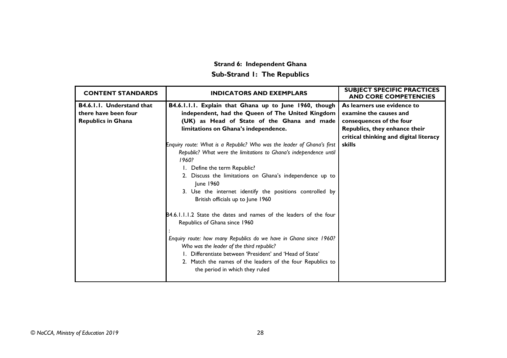# **Strand 6: Independent Ghana Sub-Strand 1: The Republics**

<span id="page-49-0"></span>

| <b>CONTENT STANDARDS</b>         | <b>INDICATORS AND EXEMPLARS</b>                                                                                                                                                                                                                                            | <b>SUBJECT SPECIFIC PRACTICES</b><br><b>AND CORE COMPETENCIES</b> |
|----------------------------------|----------------------------------------------------------------------------------------------------------------------------------------------------------------------------------------------------------------------------------------------------------------------------|-------------------------------------------------------------------|
| <b>B4.6.1.1. Understand that</b> | B4.6.1.1.1. Explain that Ghana up to June 1960, though                                                                                                                                                                                                                     | As learners use evidence to                                       |
| there have been four             | independent, had the Queen of The United Kingdom                                                                                                                                                                                                                           | examine the causes and                                            |
| <b>Republics in Ghana</b>        | (UK) as Head of State of the Ghana and made                                                                                                                                                                                                                                | consequences of the four                                          |
|                                  | limitations on Ghana's independence.                                                                                                                                                                                                                                       | Republics, they enhance their                                     |
|                                  |                                                                                                                                                                                                                                                                            | critical thinking and digital literacy                            |
|                                  | Enquiry route: What is a Republic? Who was the leader of Ghana's first                                                                                                                                                                                                     | skills                                                            |
|                                  | Republic? What were the limitations to Ghana's independence until<br>1960?                                                                                                                                                                                                 |                                                                   |
|                                  | 1. Define the term Republic?                                                                                                                                                                                                                                               |                                                                   |
|                                  | 2. Discuss the limitations on Ghana's independence up to<br>June 1960                                                                                                                                                                                                      |                                                                   |
|                                  | 3. Use the internet identify the positions controlled by<br>British officials up to June 1960                                                                                                                                                                              |                                                                   |
|                                  | B4.6.1.1.1.2 State the dates and names of the leaders of the four<br>Republics of Ghana since 1960                                                                                                                                                                         |                                                                   |
|                                  | Enquiry route: how many Republics do we have in Ghana since 1960?<br>Who was the leader of the third republic?<br>1. Differentiate between 'President' and 'Head of State'<br>2. Match the names of the leaders of the four Republics to<br>the period in which they ruled |                                                                   |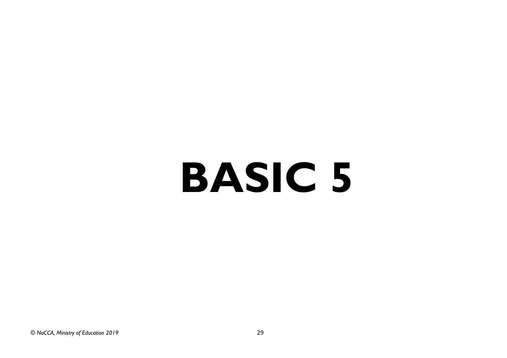# **BASIC 5**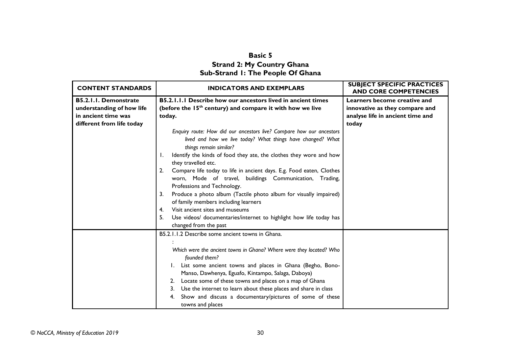# **Basic 5 Strand 2: My Country Ghana Sub-Strand 1: The People Of Ghana**

<span id="page-51-1"></span><span id="page-51-0"></span>

| <b>CONTENT STANDARDS</b>  | <b>INDICATORS AND EXEMPLARS</b>                                                                                                                                                                                                                                                                                                                                                                                                            | <b>SUBJECT SPECIFIC PRACTICES</b><br><b>AND CORE COMPETENCIES</b> |
|---------------------------|--------------------------------------------------------------------------------------------------------------------------------------------------------------------------------------------------------------------------------------------------------------------------------------------------------------------------------------------------------------------------------------------------------------------------------------------|-------------------------------------------------------------------|
| B5.2.1.1. Demonstrate     | B5.2.1.1.1 Describe how our ancestors lived in ancient times                                                                                                                                                                                                                                                                                                                                                                               | Learners become creative and                                      |
| understanding of how life | (before the 15 <sup>th</sup> century) and compare it with how we live                                                                                                                                                                                                                                                                                                                                                                      | innovative as they compare and                                    |
| in ancient time was       | today.                                                                                                                                                                                                                                                                                                                                                                                                                                     | analyse life in ancient time and                                  |
| different from life today |                                                                                                                                                                                                                                                                                                                                                                                                                                            | today                                                             |
|                           | Enquiry route: How did our ancestors live? Compare how our ancestors<br>lived and how we live today? What things have changed? What<br>things remain similar?                                                                                                                                                                                                                                                                              |                                                                   |
|                           | Identify the kinds of food they ate, the clothes they wore and how<br>Ι.<br>they travelled etc.                                                                                                                                                                                                                                                                                                                                            |                                                                   |
|                           | Compare life today to life in ancient days. E.g. Food eaten, Clothes<br>2.<br>worn, Mode of travel, buildings Communication, Trading,<br>Professions and Technology.                                                                                                                                                                                                                                                                       |                                                                   |
|                           | Produce a photo album (Tactile photo album for visually impaired)<br>3.<br>of family members including learners                                                                                                                                                                                                                                                                                                                            |                                                                   |
|                           | Visit ancient sites and museums<br>4.                                                                                                                                                                                                                                                                                                                                                                                                      |                                                                   |
|                           | 5 <sub>1</sub><br>Use videos/ documentaries/internet to highlight how life today has<br>changed from the past                                                                                                                                                                                                                                                                                                                              |                                                                   |
|                           | B5.2.1.1.2 Describe some ancient towns in Ghana.                                                                                                                                                                                                                                                                                                                                                                                           |                                                                   |
|                           | Which were the ancient towns in Ghana? Where were they located? Who<br>founded them?<br>1. List some ancient towns and places in Ghana (Begho, Bono-<br>Manso, Dawhenya, Eguafo, Kintampo, Salaga, Daboya)<br>Locate some of these towns and places on a map of Ghana<br>2.<br>Use the internet to learn about these places and share in class<br>3.<br>Show and discuss a documentary/pictures of some of these<br>4.<br>towns and places |                                                                   |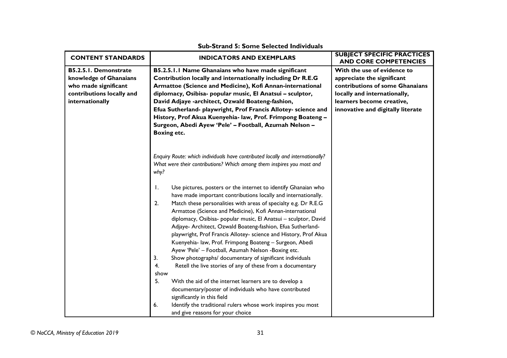| <b>CONTENT STANDARDS</b>                                                                                                | <b>INDICATORS AND EXEMPLARS</b>                                                                                                                                                                                                                                                                                                                                                                                                                                                                                                                                                                                                                                                                                                                                                                                                                                                                                                                                                                                                                | <b>SUBJECT SPECIFIC PRACTICES</b><br><b>AND CORE COMPETENCIES</b>                                                                                                                              |
|-------------------------------------------------------------------------------------------------------------------------|------------------------------------------------------------------------------------------------------------------------------------------------------------------------------------------------------------------------------------------------------------------------------------------------------------------------------------------------------------------------------------------------------------------------------------------------------------------------------------------------------------------------------------------------------------------------------------------------------------------------------------------------------------------------------------------------------------------------------------------------------------------------------------------------------------------------------------------------------------------------------------------------------------------------------------------------------------------------------------------------------------------------------------------------|------------------------------------------------------------------------------------------------------------------------------------------------------------------------------------------------|
| B5.2.5.1. Demonstrate<br>knowledge of Ghanaians<br>who made significant<br>contributions locally and<br>internationally | B5.2.5.1.1 Name Ghanaians who have made significant<br>Contribution locally and internationally including Dr R.E.G<br>Armattoe (Science and Medicine), Kofi Annan-international<br>diplomacy, Osibisa- popular music, El Anatsui - sculptor,<br>David Adjaye -architect, Ozwald Boateng-fashion,<br>Efua Sutherland- playwright, Prof Francis Allotey- science and<br>History, Prof Akua Kuenyehia- law, Prof. Frimpong Boateng -<br>Surgeon, Abedi Ayew 'Pele' - Football, Azumah Nelson -<br><b>Boxing etc.</b>                                                                                                                                                                                                                                                                                                                                                                                                                                                                                                                              | With the use of evidence to<br>appreciate the significant<br>contributions of some Ghanaians<br>locally and internationally,<br>learners become creative,<br>innovative and digitally literate |
|                                                                                                                         | Enquiry Route: which individuals have contributed locally and internationally?<br>What were their contributions? Which among them inspires you most and<br>why?<br>Use pictures, posters or the internet to identify Ghanaian who<br>Ι.<br>have made important contributions locally and internationally.<br>2.<br>Match these personalities with areas of specialty e.g. Dr R.E.G<br>Armattoe (Science and Medicine), Kofi Annan-international<br>diplomacy, Osibisa- popular music, El Anatsui - sculptor, David<br>Adjaye- Architect, Ozwald Boateng-fashion, Efua Sutherland-<br>playwright, Prof Francis Allotey- science and History, Prof Akua<br>Kuenyehia- law, Prof. Frimpong Boateng - Surgeon, Abedi<br>Ayew 'Pele' - Football, Azumah Nelson -Boxing etc.<br>3.<br>Show photographs/ documentary of significant individuals<br>Retell the live stories of any of these from a documentary<br>4.<br>show<br>5.<br>With the aid of the internet learners are to develop a<br>documentary/poster of individuals who have contributed |                                                                                                                                                                                                |
|                                                                                                                         | significantly in this field<br>6.<br>Identify the traditional rulers whose work inspires you most<br>and give reasons for your choice                                                                                                                                                                                                                                                                                                                                                                                                                                                                                                                                                                                                                                                                                                                                                                                                                                                                                                          |                                                                                                                                                                                                |

#### **Sub-Strand 5: Some Selected Individuals**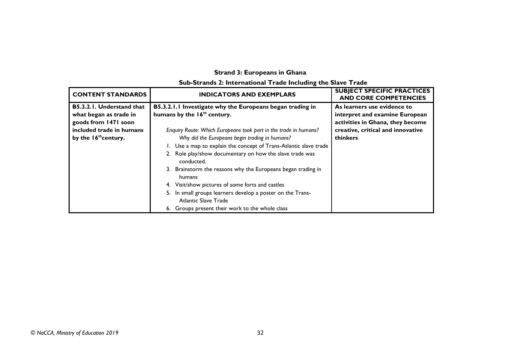# **Strand 3: Europeans in Ghana**

# **Sub-Strands 2: International Trade Including the Slave Trade**

<span id="page-53-0"></span>

| <b>CONTENT STANDARDS</b>         | <b>INDICATORS AND EXEMPLARS</b>                                                           | <b>SUBJECT SPECIFIC PRACTICES</b><br><b>AND CORE COMPETENCIES</b> |
|----------------------------------|-------------------------------------------------------------------------------------------|-------------------------------------------------------------------|
| B5.3.2.1. Understand that        | B5.3.2.1.1 Investigate why the Europeans began trading in                                 | As learners use evidence to                                       |
| what began as trade in           | humans by the 16 <sup>th</sup> century.                                                   | interpret and examine European                                    |
| goods from 1471 soon             |                                                                                           | activities in Ghana, they become                                  |
| included trade in humans         | Enquiry Route: Which Europeans took part in the trade in humans?                          | creative, critical and innovative                                 |
| by the 16 <sup>th</sup> century. | Why did the Europeans begin trading in humans?                                            | thinkers                                                          |
|                                  | Use a map to explain the concept of Trans-Atlantic slave trade                            |                                                                   |
|                                  | 2. Role play/show documentary on how the slave trade was<br>conducted.                    |                                                                   |
|                                  | 3. Brainstorm the reasons why the Europeans began trading in<br>humans                    |                                                                   |
|                                  | 4. Visit/show pictures of some forts and castles                                          |                                                                   |
|                                  | 5. In small groups learners develop a poster on the Trans-<br><b>Atlantic Slave Trade</b> |                                                                   |
|                                  | 6. Groups present their work to the whole class                                           |                                                                   |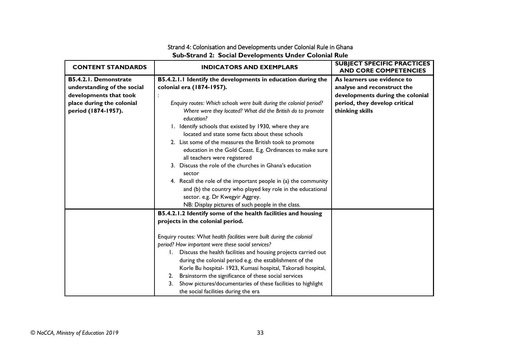### Strand 4: Colonisation and Developments under Colonial Rule in Ghana **Sub-Strand 2: Social Developments Under Colonial Rule**

<span id="page-54-0"></span>

| <b>CONTENT STANDARDS</b>                                                                                                                  | <b>INDICATORS AND EXEMPLARS</b>                                                                                                                                                                                                                                                                                                                                                                                                                                                                                                                                                                                                                                                                                                                                   | <b>SUBJECT SPECIFIC PRACTICES</b><br><b>AND CORE COMPETENCIES</b>                                                                                  |
|-------------------------------------------------------------------------------------------------------------------------------------------|-------------------------------------------------------------------------------------------------------------------------------------------------------------------------------------------------------------------------------------------------------------------------------------------------------------------------------------------------------------------------------------------------------------------------------------------------------------------------------------------------------------------------------------------------------------------------------------------------------------------------------------------------------------------------------------------------------------------------------------------------------------------|----------------------------------------------------------------------------------------------------------------------------------------------------|
| <b>B5.4.2.1. Demonstrate</b><br>understanding of the social<br>developments that took<br>place during the colonial<br>period (1874-1957). | B5.4.2.1.1 Identify the developments in education during the<br>colonial era (1874-1957).<br>Enquiry routes: Which schools were built during the colonial period?<br>Where were they located? What did the British do to promote<br>education?<br>1. Identify schools that existed by 1930, where they are<br>located and state some facts about these schools<br>2. List some of the measures the British took to promote<br>education in the Gold Coast. E.g. Ordinances to make sure<br>all teachers were registered<br>3. Discuss the role of the churches in Ghana's education<br>sector<br>4. Recall the role of the important people in (a) the community<br>and (b) the country who played key role in the educational<br>sector. e.g. Dr Kwegyir Aggrey. | As learners use evidence to<br>analyse and reconstruct the<br>developments during the colonial<br>period, they develop critical<br>thinking skills |
|                                                                                                                                           | NB: Display pictures of such people in the class.<br>B5.4.2.1.2 Identify some of the health facilities and housing<br>projects in the colonial period.<br>Enquiry routes: What health facilities were built during the colonial                                                                                                                                                                                                                                                                                                                                                                                                                                                                                                                                   |                                                                                                                                                    |
|                                                                                                                                           | period? How important were these social services?<br>1. Discuss the health facilities and housing projects carried out<br>during the colonial period e.g. the establishment of the<br>Korle Bu hospital- 1923, Kumasi hospital, Takoradi hospital,<br>Brainstorm the significance of these social services<br>2.<br>Show pictures/documentaries of these facilities to highlight<br>3.<br>the social facilities during the era                                                                                                                                                                                                                                                                                                                                    |                                                                                                                                                    |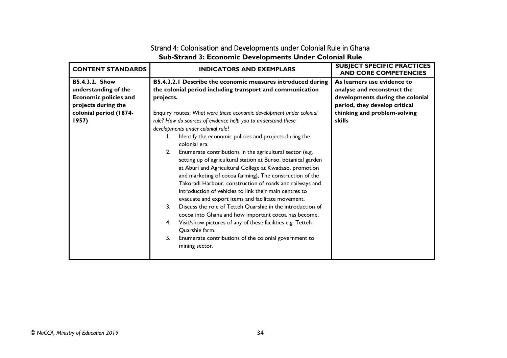# Strand 4: Colonisation and Developments under Colonial Rule in Ghana **Sub-Strand 3: Economic Developments Under Colonial Rule**

| <b>CONTENT STANDARDS</b>     | <b>INDICATORS AND EXEMPLARS</b>                                                                                                                                                                                                                                                                                                                                                                                                    | <b>SUBJECT SPECIFIC PRACTICES</b><br><b>AND CORE COMPETENCIES</b> |
|------------------------------|------------------------------------------------------------------------------------------------------------------------------------------------------------------------------------------------------------------------------------------------------------------------------------------------------------------------------------------------------------------------------------------------------------------------------------|-------------------------------------------------------------------|
| <b>B5.4.3.2. Show</b>        | B5.4.3.2.1 Describe the economic measures introduced during                                                                                                                                                                                                                                                                                                                                                                        | As learners use evidence to                                       |
| understanding of the         | the colonial period including transport and communication                                                                                                                                                                                                                                                                                                                                                                          | analyse and reconstruct the                                       |
| <b>Economic policies and</b> | projects.                                                                                                                                                                                                                                                                                                                                                                                                                          | developments during the colonial                                  |
| projects during the          |                                                                                                                                                                                                                                                                                                                                                                                                                                    | period, they develop critical                                     |
| colonial period (1874-       | Enquiry routes: What were these economic development under colonial                                                                                                                                                                                                                                                                                                                                                                | thinking and problem-solving                                      |
| 1957)                        | rule? How do sources of evidence help you to understand these                                                                                                                                                                                                                                                                                                                                                                      | skills                                                            |
|                              | developments under colonial rule?                                                                                                                                                                                                                                                                                                                                                                                                  |                                                                   |
|                              | Identify the economic policies and projects during the<br>Ι.<br>colonial era.                                                                                                                                                                                                                                                                                                                                                      |                                                                   |
|                              | Enumerate contributions in the agricultural sector (e.g.<br>2.<br>setting up of agricultural station at Bunso, botanical garden<br>at Aburi and Agricultural College at Kwadaso, promotion<br>and marketing of cocoa farming), The construction of the<br>Takoradi Harbour, construction of roads and railways and<br>introduction of vehicles to link their main centres to<br>evacuate and export items and facilitate movement. |                                                                   |
|                              | 3.<br>Discuss the role of Tetteh Quarshie in the introduction of<br>cocoa into Ghana and how important cocoa has become.                                                                                                                                                                                                                                                                                                           |                                                                   |
|                              | Visit/show pictures of any of these facilities e.g. Tetteh<br>4.<br>Quarshie farm.                                                                                                                                                                                                                                                                                                                                                 |                                                                   |
|                              | 5.<br>Enumerate contributions of the colonial government to<br>mining sector.                                                                                                                                                                                                                                                                                                                                                      |                                                                   |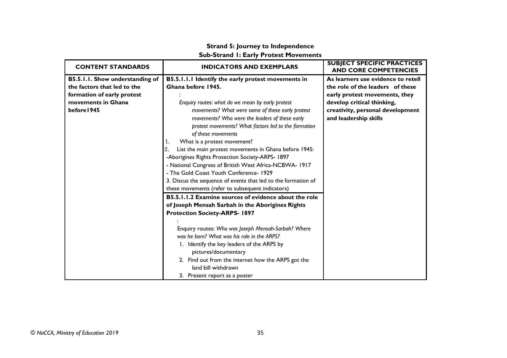# **Strand 5: Journey to Independence Sub-Strand 1: Early Protest Movements**

<span id="page-56-0"></span>

| <b>CONTENT STANDARDS</b>        | <b>INDICATORS AND EXEMPLARS</b>                               | <b>SUBJECT SPECIFIC PRACTICES</b><br><b>AND CORE COMPETENCIES</b> |
|---------------------------------|---------------------------------------------------------------|-------------------------------------------------------------------|
| B5.5.1.1. Show understanding of | B5.5.1.1.1 Identify the early protest movements in            | As learners use evidence to retell                                |
| the factors that led to the     | Ghana before 1945.                                            | the role of the leaders of these                                  |
| formation of early protest      |                                                               | early protest movements, they                                     |
| movements in Ghana              | Enquiry routes: what do we mean by early protest              | develop critical thinking,                                        |
| before 1945                     | movements? What were some of these early protest              | creativity, personal development                                  |
|                                 | movements? Who were the leaders of these early                | and leadership skills                                             |
|                                 | protest movements? What factors led to the formation          |                                                                   |
|                                 | of these movements                                            |                                                                   |
|                                 | What is a protest movement?<br>1.                             |                                                                   |
|                                 | List the main protest movements in Ghana before 1945:<br>2.   |                                                                   |
|                                 | -Aborigines Rights Protection Society-ARPS- 1897              |                                                                   |
|                                 | - National Congress of British West Africa-NCBWA- 1917        |                                                                   |
|                                 | - The Gold Coast Youth Conference- 1929                       |                                                                   |
|                                 | 3. Discus the sequence of events that led to the formation of |                                                                   |
|                                 | these movements (refer to subsequent indicators)              |                                                                   |
|                                 | B5.5.1.1.2 Examine sources of evidence about the role         |                                                                   |
|                                 | of Joseph Mensah Sarbah in the Aborigines Rights              |                                                                   |
|                                 | <b>Protection Society-ARPS- 1897</b>                          |                                                                   |
|                                 |                                                               |                                                                   |
|                                 | Enquiry routes: Who was Joseph Mensah-Sarbah? Where           |                                                                   |
|                                 | was he born? What was his role in the ARPS?                   |                                                                   |
|                                 | 1. Identify the key leaders of the ARPS by                    |                                                                   |
|                                 | pictures/documentary                                          |                                                                   |
|                                 | 2. Find out from the internet how the ARPS got the            |                                                                   |
|                                 | land bill withdrawn                                           |                                                                   |
|                                 | 3. Present report as a poster                                 |                                                                   |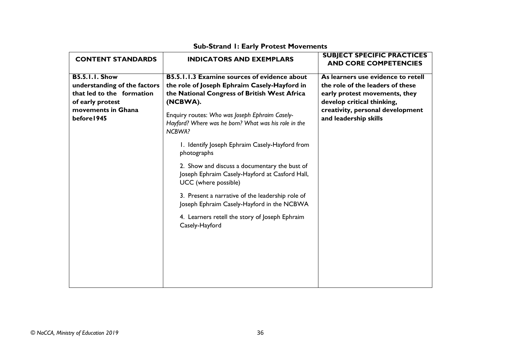| <b>CONTENT STANDARDS</b>                                                                                                                    | <b>INDICATORS AND EXEMPLARS</b>                                                                                                                                                                                                                                                     | <b>SUBJECT SPECIFIC PRACTICES</b><br><b>AND CORE COMPETENCIES</b>                                                                                                                                  |
|---------------------------------------------------------------------------------------------------------------------------------------------|-------------------------------------------------------------------------------------------------------------------------------------------------------------------------------------------------------------------------------------------------------------------------------------|----------------------------------------------------------------------------------------------------------------------------------------------------------------------------------------------------|
| <b>B5.5.1.1. Show</b><br>understanding of the factors<br>that led to the formation<br>of early protest<br>movements in Ghana<br>before 1945 | <b>B5.5.1.1.3 Examine sources of evidence about</b><br>the role of Joseph Ephraim Casely-Hayford in<br>the National Congress of British West Africa<br>(NCBWA).<br>Enquiry routes: Who was Joseph Ephraim Casely-<br>Hayford? Where was he born? What was his role in the<br>NCBWA? | As learners use evidence to retell<br>the role of the leaders of these<br>early protest movements, they<br>develop critical thinking,<br>creativity, personal development<br>and leadership skills |
|                                                                                                                                             | 1. Identify Joseph Ephraim Casely-Hayford from<br>photographs                                                                                                                                                                                                                       |                                                                                                                                                                                                    |
|                                                                                                                                             | 2. Show and discuss a documentary the bust of<br>Joseph Ephraim Casely-Hayford at Casford Hall,<br>UCC (where possible)                                                                                                                                                             |                                                                                                                                                                                                    |
|                                                                                                                                             | 3. Present a narrative of the leadership role of<br>Joseph Ephraim Casely-Hayford in the NCBWA                                                                                                                                                                                      |                                                                                                                                                                                                    |
|                                                                                                                                             | 4. Learners retell the story of Joseph Ephraim<br>Casely-Hayford                                                                                                                                                                                                                    |                                                                                                                                                                                                    |
|                                                                                                                                             |                                                                                                                                                                                                                                                                                     |                                                                                                                                                                                                    |

# **Sub-Strand 1: Early Protest Movements**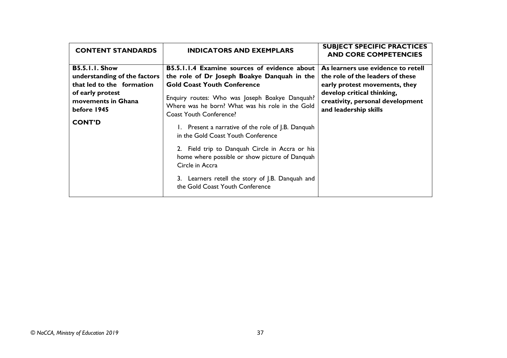| <b>CONTENT STANDARDS</b>                                                                                                                                     | <b>INDICATORS AND EXEMPLARS</b>                                                                                                                                                                                                                                                                                                                                                                                                                                                                                                                                                             | <b>SUBJECT SPECIFIC PRACTICES</b><br><b>AND CORE COMPETENCIES</b>                                                                                                                                  |
|--------------------------------------------------------------------------------------------------------------------------------------------------------------|---------------------------------------------------------------------------------------------------------------------------------------------------------------------------------------------------------------------------------------------------------------------------------------------------------------------------------------------------------------------------------------------------------------------------------------------------------------------------------------------------------------------------------------------------------------------------------------------|----------------------------------------------------------------------------------------------------------------------------------------------------------------------------------------------------|
| <b>B5.5.1.1. Show</b><br>understanding of the factors<br>that led to the formation<br>of early protest<br>movements in Ghana<br>before 1945<br><b>CONT'D</b> | <b>B5.5.1.1.4 Examine sources of evidence about</b><br>the role of Dr Joseph Boakye Danquah in the<br><b>Gold Coast Youth Conference</b><br>Enquiry routes: Who was Joseph Boakye Danquah?<br>Where was he born? What was his role in the Gold<br><b>Coast Youth Conference?</b><br>1. Present a narrative of the role of J.B. Danquah<br>in the Gold Coast Youth Conference<br>2. Field trip to Danquah Circle in Accra or his<br>home where possible or show picture of Danquah<br>Circle in Accra<br>3. Learners retell the story of J.B. Danquah and<br>the Gold Coast Youth Conference | As learners use evidence to retell<br>the role of the leaders of these<br>early protest movements, they<br>develop critical thinking,<br>creativity, personal development<br>and leadership skills |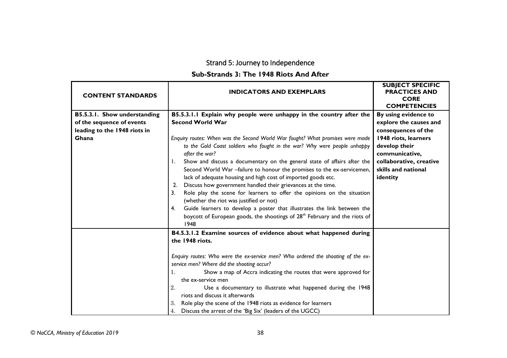# Strand 5: Journey to Independence

# **Sub-Strands 3: The 1948 Riots And After**

| <b>CONTENT STANDARDS</b>     | <b>INDICATORS AND EXEMPLARS</b>                                                                                                                                                                                                                                                                                                                                                                                                                                                                                                                                                                                 | <b>SUBJECT SPECIFIC</b><br><b>PRACTICES AND</b><br><b>CORE</b><br><b>COMPETENCIES</b> |
|------------------------------|-----------------------------------------------------------------------------------------------------------------------------------------------------------------------------------------------------------------------------------------------------------------------------------------------------------------------------------------------------------------------------------------------------------------------------------------------------------------------------------------------------------------------------------------------------------------------------------------------------------------|---------------------------------------------------------------------------------------|
| B5.5.3.1. Show understanding | B5.5.3.1.1 Explain why people were unhappy in the country after the                                                                                                                                                                                                                                                                                                                                                                                                                                                                                                                                             | By using evidence to                                                                  |
| of the sequence of events    | <b>Second World War</b>                                                                                                                                                                                                                                                                                                                                                                                                                                                                                                                                                                                         | explore the causes and                                                                |
| leading to the 1948 riots in |                                                                                                                                                                                                                                                                                                                                                                                                                                                                                                                                                                                                                 | consequences of the                                                                   |
| Ghana                        | Enquiry routes: When was the Second World War fought? What promises were made                                                                                                                                                                                                                                                                                                                                                                                                                                                                                                                                   | 1948 riots, learners                                                                  |
|                              | to the Gold Coast soldiers who fought in the war? Why were people unhappy<br>after the war?                                                                                                                                                                                                                                                                                                                                                                                                                                                                                                                     | develop their<br>communicative,                                                       |
|                              | Show and discuss a documentary on the general state of affairs after the<br>Ι.<br>Second World War -failure to honour the promises to the ex-servicemen,<br>lack of adequate housing and high cost of imported goods etc.<br>Discuss how government handled their grievances at the time.<br>2.<br>Role play the scene for learners to offer the opinions on the situation<br>3.<br>(whether the riot was justified or not)<br>Guide learners to develop a poster that illustrates the link between the<br>4.<br>boycott of European goods, the shootings of 28 <sup>th</sup> February and the riots of<br>1948 | collaborative, creative<br>skills and national<br>identity                            |
|                              | B4.5.3.1.2 Examine sources of evidence about what happened during                                                                                                                                                                                                                                                                                                                                                                                                                                                                                                                                               |                                                                                       |
|                              | the 1948 riots.                                                                                                                                                                                                                                                                                                                                                                                                                                                                                                                                                                                                 |                                                                                       |
|                              | Enquiry routes: Who were the ex-service men? Who ordered the shooting of the ex-<br>service men? Where did the shooting occur?<br>Show a map of Accra indicating the routes that were approved for<br>1.<br>the ex-service men<br>2.<br>Use a documentary to illustrate what happened during the 1948<br>riots and discuss it afterwards<br>Role play the scene of the 1948 riots as evidence for learners<br>3.<br>Discuss the arrest of the 'Big Six' (leaders of the UGCC)<br>4.                                                                                                                             |                                                                                       |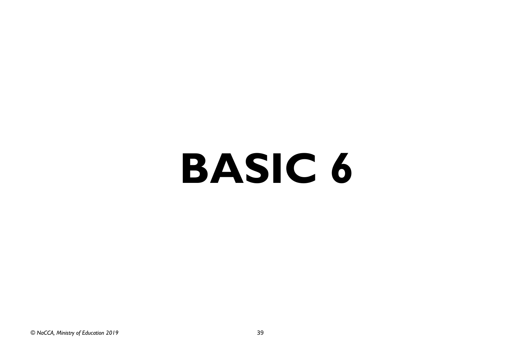# <span id="page-60-0"></span>**BASIC 6**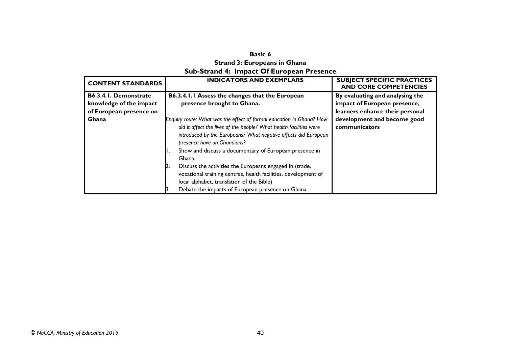### **Basic 6 Strand 3: Europeans in Ghana Sub-Strand 4: Impact Of European Presence**

<span id="page-61-1"></span><span id="page-61-0"></span>

| <b>CONTENT STANDARDS</b>                                | <b>INDICATORS AND EXEMPLARS</b>                                                                                                                                                                                                                                                                                                                                                                                                                                                           | <b>SUBJECT SPECIFIC PRACTICES</b><br><b>AND CORE COMPETENCIES</b> |
|---------------------------------------------------------|-------------------------------------------------------------------------------------------------------------------------------------------------------------------------------------------------------------------------------------------------------------------------------------------------------------------------------------------------------------------------------------------------------------------------------------------------------------------------------------------|-------------------------------------------------------------------|
| <b>B6.3.4.1. Demonstrate</b><br>knowledge of the impact | B6.3.4.1.1 Assess the changes that the European<br>presence brought to Ghana.                                                                                                                                                                                                                                                                                                                                                                                                             | By evaluating and analysing the<br>impact of European presence,   |
| of European presence on                                 |                                                                                                                                                                                                                                                                                                                                                                                                                                                                                           | learners enhance their personal                                   |
| Ghana                                                   | Enquiry route: What was the effect of formal education in Ghana? How<br>did it affect the lives of the people? What health facilities were<br>introduced by the Europeans? What negative effects did European<br>presence have on Ghanaians?<br>Show and discuss a documentary of European presence in<br>Ghana<br>Discuss the activities the Europeans engaged in (trade,<br>vocational training centres, health facilities, development of<br>local alphabet, translation of the Bible) | development and become good<br>communicators                      |
|                                                         | Debate the impacts of European presence on Ghana                                                                                                                                                                                                                                                                                                                                                                                                                                          |                                                                   |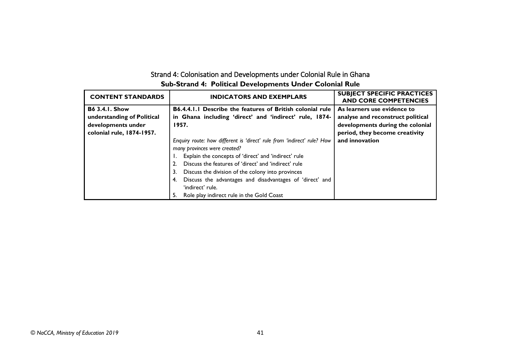| Strand 4: Colonisation and Developments under Colonial Rule in Ghana |  |  |
|----------------------------------------------------------------------|--|--|
| Sub-Strand 4: Political Developments Under Colonial Rule             |  |  |

| <b>CONTENT STANDARDS</b>   | <b>INDICATORS AND EXEMPLARS</b>                                         | <b>SUBJECT SPECIFIC PRACTICES</b><br><b>AND CORE COMPETENCIES</b> |
|----------------------------|-------------------------------------------------------------------------|-------------------------------------------------------------------|
| <b>B6 3.4.1. Show</b>      | <b>B6.4.4.1.1 Describe the features of British colonial rule</b>        | As learners use evidence to                                       |
| understanding of Political | in Ghana including 'direct' and 'indirect' rule, 1874-                  | analyse and reconstruct political                                 |
| developments under         | 1957.                                                                   | developments during the colonial                                  |
| colonial rule, 1874-1957.  |                                                                         | period, they become creativity                                    |
|                            | Enquiry route: how different is 'direct' rule from 'indirect' rule? How | and innovation                                                    |
|                            | many provinces were created?                                            |                                                                   |
|                            | Explain the concepts of 'direct' and 'indirect' rule                    |                                                                   |
|                            | Discuss the features of 'direct' and 'indirect' rule                    |                                                                   |
|                            | Discuss the division of the colony into provinces<br>3.                 |                                                                   |
|                            | Discuss the advantages and disadvantages of 'direct' and                |                                                                   |
|                            | 'indirect' rule.                                                        |                                                                   |
|                            | Role play indirect rule in the Gold Coast                               |                                                                   |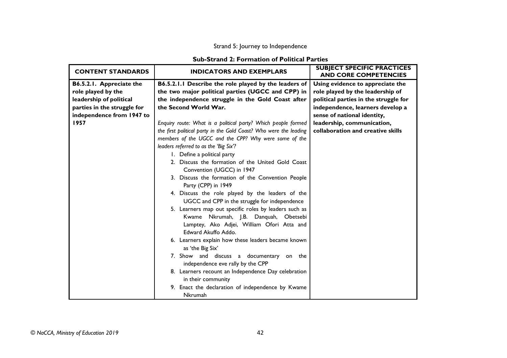# Strand 5: Journey to Independence

### **Sub-Strand 2: Formation of Political Parties**

<span id="page-63-0"></span>

| <b>CONTENT STANDARDS</b>    | <b>INDICATORS AND EXEMPLARS</b>                                   | <b>SUBJECT SPECIFIC PRACTICES</b><br><b>AND CORE COMPETENCIES</b> |
|-----------------------------|-------------------------------------------------------------------|-------------------------------------------------------------------|
| B6.5.2.1. Appreciate the    | B6.5.2.1.1 Describe the role played by the leaders of             | Using evidence to appreciate the                                  |
| role played by the          | the two major political parties (UGCC and CPP) in                 | role played by the leadership of                                  |
| leadership of political     | the independence struggle in the Gold Coast after                 | political parties in the struggle for                             |
| parties in the struggle for | the Second World War.                                             | independence, learners develop a                                  |
| independence from 1947 to   |                                                                   | sense of national identity,                                       |
| 1957                        | Enquiry route: What is a political party? Which people formed     | leadership, communication,                                        |
|                             | the first political party in the Gold Coast? Who were the leading | collaboration and creative skills                                 |
|                             | members of the UGCC and the CPP? Why were some of the             |                                                                   |
|                             | leaders referred to as the 'Big Six'?                             |                                                                   |
|                             | I. Define a political party                                       |                                                                   |
|                             | 2. Discuss the formation of the United Gold Coast                 |                                                                   |
|                             | Convention (UGCC) in 1947                                         |                                                                   |
|                             | 3. Discuss the formation of the Convention People                 |                                                                   |
|                             | Party (CPP) in 1949                                               |                                                                   |
|                             | 4. Discuss the role played by the leaders of the                  |                                                                   |
|                             | UGCC and CPP in the struggle for independence                     |                                                                   |
|                             | 5. Learners map out specific roles by leaders such as             |                                                                   |
|                             | Kwame Nkrumah, J.B. Danquah, Obetsebi                             |                                                                   |
|                             | Lamptey, Ako Adjei, William Ofori Atta and                        |                                                                   |
|                             | Edward Akuffo Addo.                                               |                                                                   |
|                             | 6. Learners explain how these leaders became known                |                                                                   |
|                             | as 'the Big Six'                                                  |                                                                   |
|                             | 7. Show and discuss a documentary on the                          |                                                                   |
|                             | independence eve rally by the CPP                                 |                                                                   |
|                             | 8. Learners recount an Independence Day celebration               |                                                                   |
|                             | in their community                                                |                                                                   |
|                             | 9. Enact the declaration of independence by Kwame                 |                                                                   |
|                             | Nkrumah                                                           |                                                                   |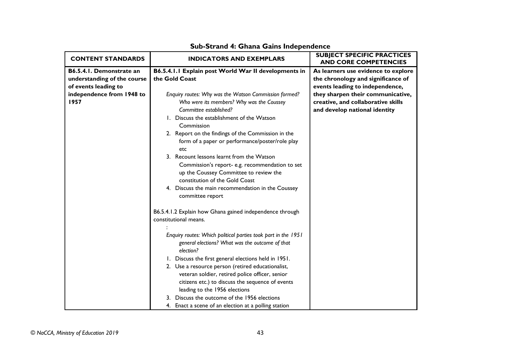| <b>CONTENT STANDARDS</b>    | <b>INDICATORS AND EXEMPLARS</b>                                                           | <b>SUBJECT SPECIFIC PRACTICES</b><br><b>AND CORE COMPETENCIES</b> |
|-----------------------------|-------------------------------------------------------------------------------------------|-------------------------------------------------------------------|
| B6.5.4.1. Demonstrate an    | B6.5.4.1.1 Explain post World War II developments in                                      | As learners use evidence to explore                               |
| understanding of the course | the Gold Coast                                                                            | the chronology and significance of                                |
| of events leading to        |                                                                                           | events leading to independence,                                   |
| independence from 1948 to   | Enquiry routes: Why was the Watson Commission formed?                                     | they sharpen their communicative,                                 |
| 1957                        | Who were its members? Why was the Coussey                                                 | creative, and collaborative skills                                |
|                             | Committee established?                                                                    | and develop national identity                                     |
|                             | I. Discuss the establishment of the Watson                                                |                                                                   |
|                             | Commission                                                                                |                                                                   |
|                             | 2. Report on the findings of the Commission in the                                        |                                                                   |
|                             | form of a paper or performance/poster/role play                                           |                                                                   |
|                             | etc<br>3. Recount lessons learnt from the Watson                                          |                                                                   |
|                             |                                                                                           |                                                                   |
|                             | Commission's report- e.g. recommendation to set<br>up the Coussey Committee to review the |                                                                   |
|                             | constitution of the Gold Coast                                                            |                                                                   |
|                             | 4. Discuss the main recommendation in the Coussey                                         |                                                                   |
|                             | committee report                                                                          |                                                                   |
|                             |                                                                                           |                                                                   |
|                             | B6.5.4.1.2 Explain how Ghana gained independence through                                  |                                                                   |
|                             | constitutional means.                                                                     |                                                                   |
|                             |                                                                                           |                                                                   |
|                             | Enquiry routes: Which political parties took part in the 1951                             |                                                                   |
|                             | general elections? What was the outcome of that                                           |                                                                   |
|                             | election?                                                                                 |                                                                   |
|                             | 1. Discuss the first general elections held in 1951.                                      |                                                                   |
|                             | 2. Use a resource person (retired educationalist,                                         |                                                                   |
|                             | veteran soldier, retired police officer, senior                                           |                                                                   |
|                             | citizens etc.) to discuss the sequence of events                                          |                                                                   |
|                             | leading to the 1956 elections                                                             |                                                                   |
|                             | 3. Discuss the outcome of the 1956 elections                                              |                                                                   |
|                             | 4. Enact a scene of an election at a polling station                                      |                                                                   |

# **Sub-Strand 4: Ghana Gains Independence**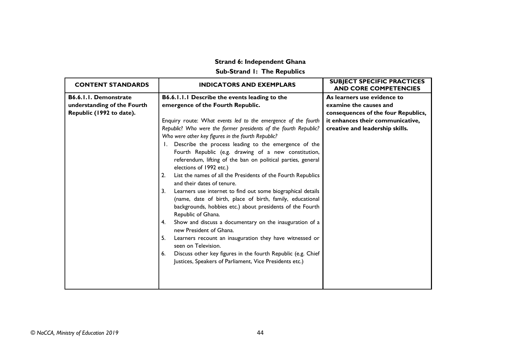# **Strand 6: Independent Ghana**

# **Sub-Strand 1: The Republics**

<span id="page-65-0"></span>

| <b>CONTENT STANDARDS</b>    | <b>INDICATORS AND EXEMPLARS</b>                                                                  | <b>SUBJECT SPECIFIC PRACTICES</b><br><b>AND CORE COMPETENCIES</b> |
|-----------------------------|--------------------------------------------------------------------------------------------------|-------------------------------------------------------------------|
| B6.6.1.1. Demonstrate       | B6.6.1.1.1 Describe the events leading to the                                                    | As learners use evidence to                                       |
| understanding of the Fourth | emergence of the Fourth Republic.                                                                | examine the causes and                                            |
| Republic (1992 to date).    |                                                                                                  | consequences of the four Republics,                               |
|                             | Enquiry route: What events led to the emergence of the fourth                                    | it enhances their communicative,                                  |
|                             | Republic? Who were the former presidents of the fourth Republic?                                 | creative and leadership skills.                                   |
|                             | Who were other key figures in the fourth Republic?                                               |                                                                   |
|                             | Describe the process leading to the emergence of the                                             |                                                                   |
|                             | Fourth Republic (e.g. drawing of a new constitution,                                             |                                                                   |
|                             | referendum, lifting of the ban on political parties, general                                     |                                                                   |
|                             | elections of 1992 etc.)                                                                          |                                                                   |
|                             | List the names of all the Presidents of the Fourth Republics<br>2.<br>and their dates of tenure. |                                                                   |
|                             | Learners use internet to find out some biographical details<br>3.                                |                                                                   |
|                             | (name, date of birth, place of birth, family, educational                                        |                                                                   |
|                             | backgrounds, hobbies etc.) about presidents of the Fourth                                        |                                                                   |
|                             | Republic of Ghana.                                                                               |                                                                   |
|                             | Show and discuss a documentary on the inauguration of a<br>4.<br>new President of Ghana.         |                                                                   |
|                             | 5.<br>Learners recount an inauguration they have witnessed or<br>seen on Television.             |                                                                   |
|                             | Discuss other key figures in the fourth Republic (e.g. Chief<br>6.                               |                                                                   |
|                             | Justices, Speakers of Parliament, Vice Presidents etc.)                                          |                                                                   |
|                             |                                                                                                  |                                                                   |
|                             |                                                                                                  |                                                                   |
|                             |                                                                                                  |                                                                   |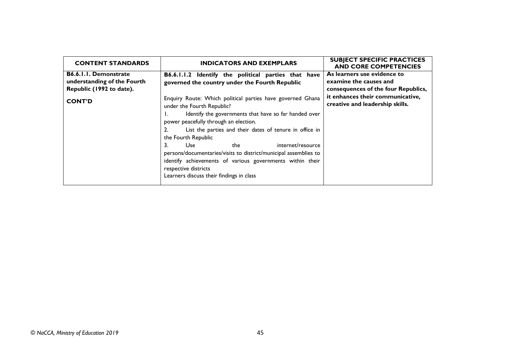| <b>CONTENT STANDARDS</b>                                                                | <b>INDICATORS AND EXEMPLARS</b>                                                                                                                                                                                                                                                                                                                                                                                                                                                                                            | <b>SUBJECT SPECIFIC PRACTICES</b><br><b>AND CORE COMPETENCIES</b>                            |
|-----------------------------------------------------------------------------------------|----------------------------------------------------------------------------------------------------------------------------------------------------------------------------------------------------------------------------------------------------------------------------------------------------------------------------------------------------------------------------------------------------------------------------------------------------------------------------------------------------------------------------|----------------------------------------------------------------------------------------------|
| <b>B6.6.1.1. Demonstrate</b><br>understanding of the Fourth<br>Republic (1992 to date). | B6.6.1.1.2 Identify the political parties that have<br>governed the country under the Fourth Republic                                                                                                                                                                                                                                                                                                                                                                                                                      | As learners use evidence to<br>examine the causes and<br>consequences of the four Republics, |
| <b>CONT'D</b>                                                                           | Enquiry Route: Which political parties have governed Ghana<br>under the Fourth Republic?<br>Identify the governments that have so far handed over<br>power peacefully through an election.<br>List the parties and their dates of tenure in office in<br>the Fourth Republic<br>internet/resource<br>3.<br>Use<br>the<br>persons/documentaries/visits to district/municipal assemblies to<br>identify achievements of various governments within their<br>respective districts<br>Learners discuss their findings in class | it enhances their communicative,<br>creative and leadership skills.                          |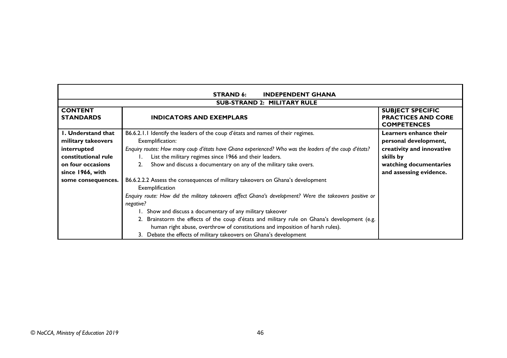| <b>STRAND 6:</b><br><b>INDEPENDENT GHANA</b> |                                                                                                                            |                                                                            |  |  |
|----------------------------------------------|----------------------------------------------------------------------------------------------------------------------------|----------------------------------------------------------------------------|--|--|
| <b>SUB-STRAND 2: MILITARY RULE</b>           |                                                                                                                            |                                                                            |  |  |
| <b>CONTENT</b><br><b>STANDARDS</b>           | <b>INDICATORS AND EXEMPLARS</b>                                                                                            | <b>SUBJECT SPECIFIC</b><br><b>PRACTICES AND CORE</b><br><b>COMPETENCES</b> |  |  |
| <b>I. Understand that</b>                    | B6.6.2.1.1 Identify the leaders of the coup d'états and names of their regimes.                                            | Learners enhance their                                                     |  |  |
| military takeovers<br>interrupted            | Exemplification:<br>Enquiry routes: How many coup d'états have Ghana experienced? Who was the leaders of the coup d'états? | personal development,<br>creativity and innovative                         |  |  |
| constitutional rule                          | List the military regimes since 1966 and their leaders.<br>skills by                                                       |                                                                            |  |  |
| on four occasions                            | Show and discuss a documentary on any of the military take overs.<br>watching documentaries                                |                                                                            |  |  |
| since 1966, with                             |                                                                                                                            | and assessing evidence.                                                    |  |  |
| some consequences.                           | B6.6.2.2.2 Assess the consequences of military takeovers on Ghana's development<br>Exemplification                         |                                                                            |  |  |
|                                              | Enquiry route: How did the military takeovers affect Ghana's development? Were the takeovers positive or<br>negative?      |                                                                            |  |  |
|                                              | 1. Show and discuss a documentary of any military takeover                                                                 |                                                                            |  |  |
|                                              | 2. Brainstorm the effects of the coup d'états and military rule on Ghana's development (e.g.                               |                                                                            |  |  |
|                                              | human right abuse, overthrow of constitutions and imposition of harsh rules).                                              |                                                                            |  |  |
|                                              | 3. Debate the effects of military takeovers on Ghana's development                                                         |                                                                            |  |  |

٦

г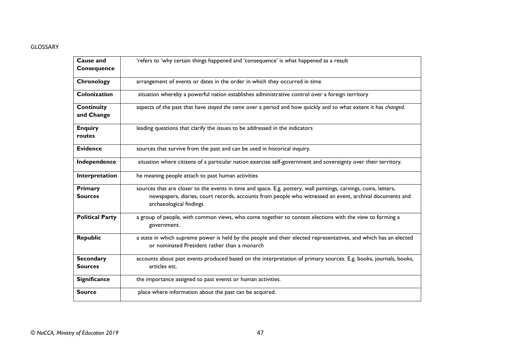#### GLOSSARY

| Cause and<br>Consequence           | 'refers to 'why certain things happened and 'consequence' is what happened as a result                                                                                                                                                                 |
|------------------------------------|--------------------------------------------------------------------------------------------------------------------------------------------------------------------------------------------------------------------------------------------------------|
| Chronology                         | arrangement of events or dates in the order in which they occurred in time                                                                                                                                                                             |
| Colonization                       | situation whereby a powerful nation establishes administrative control over a foreign territory                                                                                                                                                        |
| <b>Continuity</b><br>and Change    | aspects of the past that have stayed the same over a period and how quickly and to what extent it has changed.                                                                                                                                         |
| <b>Enquiry</b><br>routes           | leading questions that clarify the issues to be addressed in the indicators                                                                                                                                                                            |
| <b>Evidence</b>                    | sources that survive from the past and can be used in historical inquiry.                                                                                                                                                                              |
| Independence                       | situation where citizens of a particular nation exercise self-government and sovereignty over their territory.                                                                                                                                         |
| Interpretation                     | he meaning people attach to past human activities                                                                                                                                                                                                      |
| Primary<br><b>Sources</b>          | sources that are closer to the events in time and space. E.g. pottery, wall paintings, carvings, coins, letters,<br>newspapers, diaries, court records, accounts from people who witnessed an event, archival documents and<br>archaeological findings |
| <b>Political Party</b>             | a group of people, with common views, who come together to contest elections with the view to forming a<br>government.                                                                                                                                 |
| <b>Republic</b>                    | a state in which supreme power is held by the people and their elected representatives, and which has an elected<br>or nominated President rather than a monarch                                                                                       |
| <b>Secondary</b><br><b>Sources</b> | accounts about past events produced based on the interpretation of primary sources. E.g. books, journals, books,<br>articles etc.                                                                                                                      |
| <b>Significance</b>                | the importance assigned to past events or human activities.                                                                                                                                                                                            |
| <b>Source</b>                      | place where information about the past can be acquired.                                                                                                                                                                                                |